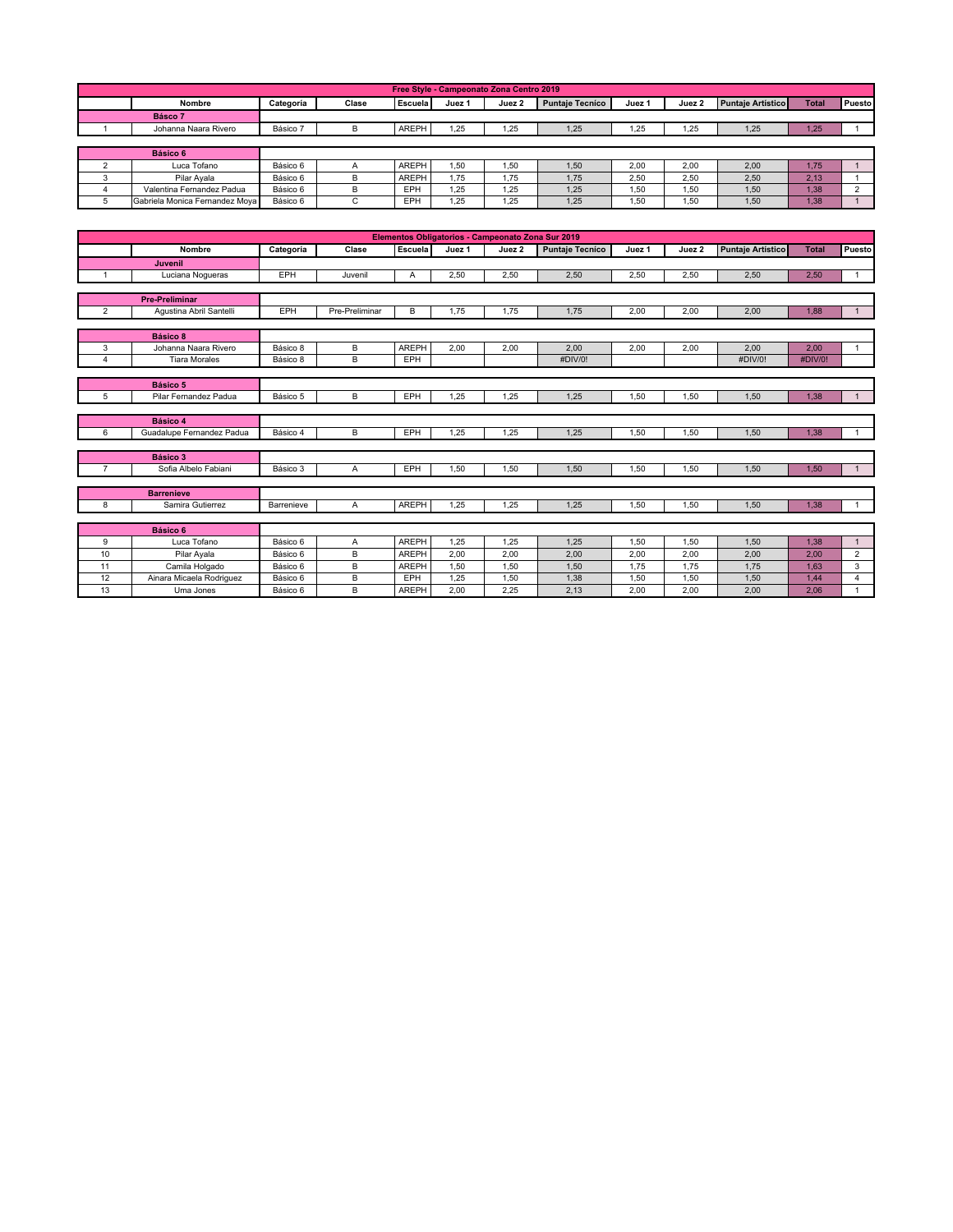|         | Free Style - Campeonato Zona Centro 2019 |           |       |                |        |        |                        |        |        |                          |              |               |  |
|---------|------------------------------------------|-----------|-------|----------------|--------|--------|------------------------|--------|--------|--------------------------|--------------|---------------|--|
|         | <b>Nombre</b>                            | Categoría | Clase | <b>Escuela</b> | Juez 1 | Juez 2 | <b>Puntaje Tecníco</b> | Juez 1 | Juez 2 | <b>Puntaje Artístico</b> | <b>Total</b> | <b>Puesto</b> |  |
| Básco 7 |                                          |           |       |                |        |        |                        |        |        |                          |              |               |  |
|         | Johanna Naara Rivero                     | Básico 7  | B     | AREPH          | 1.25   | 1,25   | 1,25                   | .25    | 1.25   | 1.25                     | 1,25         |               |  |
|         |                                          |           |       |                |        |        |                        |        |        |                          |              |               |  |
|         | Básico 6                                 |           |       |                |        |        |                        |        |        |                          |              |               |  |
|         | Luca Tofano                              | Básico 6  | A     | AREPH          | 1.50   | 1.50   | 1.50                   | 2.00   | 2.00   | 2.00                     | 1.75         |               |  |
|         | Pilar Avala                              | Básico 6  | B     | AREPH          | 1.75   | 1.75   | 1,75                   | 2.50   | 2.50   | 2.50                     | 2.13         |               |  |
|         | Valentina Fernandez Padua                | Básico 6  | B     | EPH            | 1.25   | 1.25   | 1,25                   | .50    | 1.50   | 1.50                     | 1.38         | $\sim$        |  |
|         | Gabriela Monica Fernandez Moya           | Básico 6  |       | EPH            | 1.25   | 1,25   | 1,25                   | .50    | 1,50   | 1.50                     | 1,38         |               |  |

| Elementos Obligatorios - Campeonato Zona Sur 2019 |                                  |            |                |              |        |        |                        |        |        |                          |              |                |
|---------------------------------------------------|----------------------------------|------------|----------------|--------------|--------|--------|------------------------|--------|--------|--------------------------|--------------|----------------|
|                                                   | Nombre                           | Categoría  | Clase          | Escuela      | Juez 1 | Juez 2 | <b>Puntaje Tecníco</b> | Juez 1 | Juez 2 | <b>Puntaje Artístico</b> | <b>Total</b> | Puesto         |
|                                                   | <b>Juvenil</b>                   |            |                |              |        |        |                        |        |        |                          |              |                |
|                                                   | Luciana Nogueras                 | EPH        | Juvenil        | A            | 2.50   | 2,50   | 2,50                   | 2,50   | 2.50   | 2.50                     | 2.50         | $\mathbf{1}$   |
|                                                   |                                  |            |                |              |        |        |                        |        |        |                          |              |                |
|                                                   | <b>Pre-Preliminar</b>            |            |                |              |        |        |                        |        |        |                          |              |                |
| $\overline{2}$                                    | Agustina Abril Santelli          | EPH        | Pre-Preliminar | B            | 1,75   | 1,75   | 1,75                   | 2,00   | 2,00   | 2,00                     | 1.88         | 1              |
|                                                   |                                  |            |                |              |        |        |                        |        |        |                          |              |                |
|                                                   | Básico 8                         |            |                |              |        |        |                        |        |        |                          |              |                |
| 3                                                 | Johanna Naara Rivero             | Básico 8   | В              | AREPH        | 2,00   | 2,00   | 2,00                   | 2,00   | 2,00   | 2,00                     | 2,00         | $\mathbf{1}$   |
| $\overline{4}$                                    | <b>Tiara Morales</b>             | Básico 8   | B              | EPH          |        |        | #DIV/0!                |        |        | #DIV/0!                  | #DIV/0!      |                |
|                                                   |                                  |            |                |              |        |        |                        |        |        |                          |              |                |
|                                                   | Básico 5                         |            |                |              |        |        |                        |        |        |                          |              |                |
| 5                                                 | Pilar Fernandez Padua            | Básico 5   | B              | EPH          | 1.25   | 1,25   | 1.25                   | 1,50   | 1,50   | 1.50                     | 1,38         | $\mathbf{1}$   |
|                                                   |                                  |            |                |              |        |        |                        |        |        |                          |              |                |
|                                                   | Básico 4                         |            |                |              |        |        |                        |        |        |                          |              |                |
| 6                                                 | Guadalupe Fernandez Padua        | Básico 4   | B              | EPH          | 1.25   | 1.25   | 1.25                   | 1,50   | 1,50   | 1.50                     | 1.38         | 1              |
|                                                   |                                  |            |                |              |        |        |                        |        |        |                          |              |                |
| $\overline{7}$                                    | Básico 3<br>Sofia Albelo Fabiani | Básico 3   |                | EPH          | 1,50   | 1,50   |                        | 1,50   | 1.50   | 1.50                     | 1.50         | $\mathbf{1}$   |
|                                                   |                                  |            | A              |              |        |        | 1,50                   |        |        |                          |              |                |
|                                                   | <b>Barrenieve</b>                |            |                |              |        |        |                        |        |        |                          |              |                |
| 8                                                 | Samira Gutierrez                 | Barrenieve | A              | <b>AREPH</b> | 1,25   | 1,25   | 1,25                   | 1,50   | 1,50   | 1,50                     | 1,38         | 1              |
|                                                   |                                  |            |                |              |        |        |                        |        |        |                          |              |                |
|                                                   | Básico 6                         |            |                |              |        |        |                        |        |        |                          |              |                |
| 9                                                 | Luca Tofano                      | Básico 6   | А              | <b>AREPH</b> | 1.25   | 1,25   | 1,25                   | 1,50   | 1,50   | 1,50                     | 1,38         | $\mathbf{1}$   |
| 10                                                | Pilar Ayala                      | Básico 6   | B              | <b>AREPH</b> | 2.00   | 2,00   | 2,00                   | 2,00   | 2,00   | 2,00                     | 2,00         | $\overline{2}$ |
| 11                                                | Camila Holgado                   | Básico 6   | B              | <b>AREPH</b> | 1.50   | 1,50   | 1,50                   | 1,75   | 1,75   | 1.75                     | 1.63         | 3              |
| 12                                                | Ainara Micaela Rodriguez         | Básico 6   | B              | EPH          | 1,25   | 1,50   | 1,38                   | 1,50   | 1,50   | 1,50                     | 1,44         | 4              |
| 13                                                | Uma Jones                        | Básico 6   | B              | <b>AREPH</b> | 2,00   | 2,25   | 2,13                   | 2,00   | 2,00   | 2,00                     | 2.06         | 1              |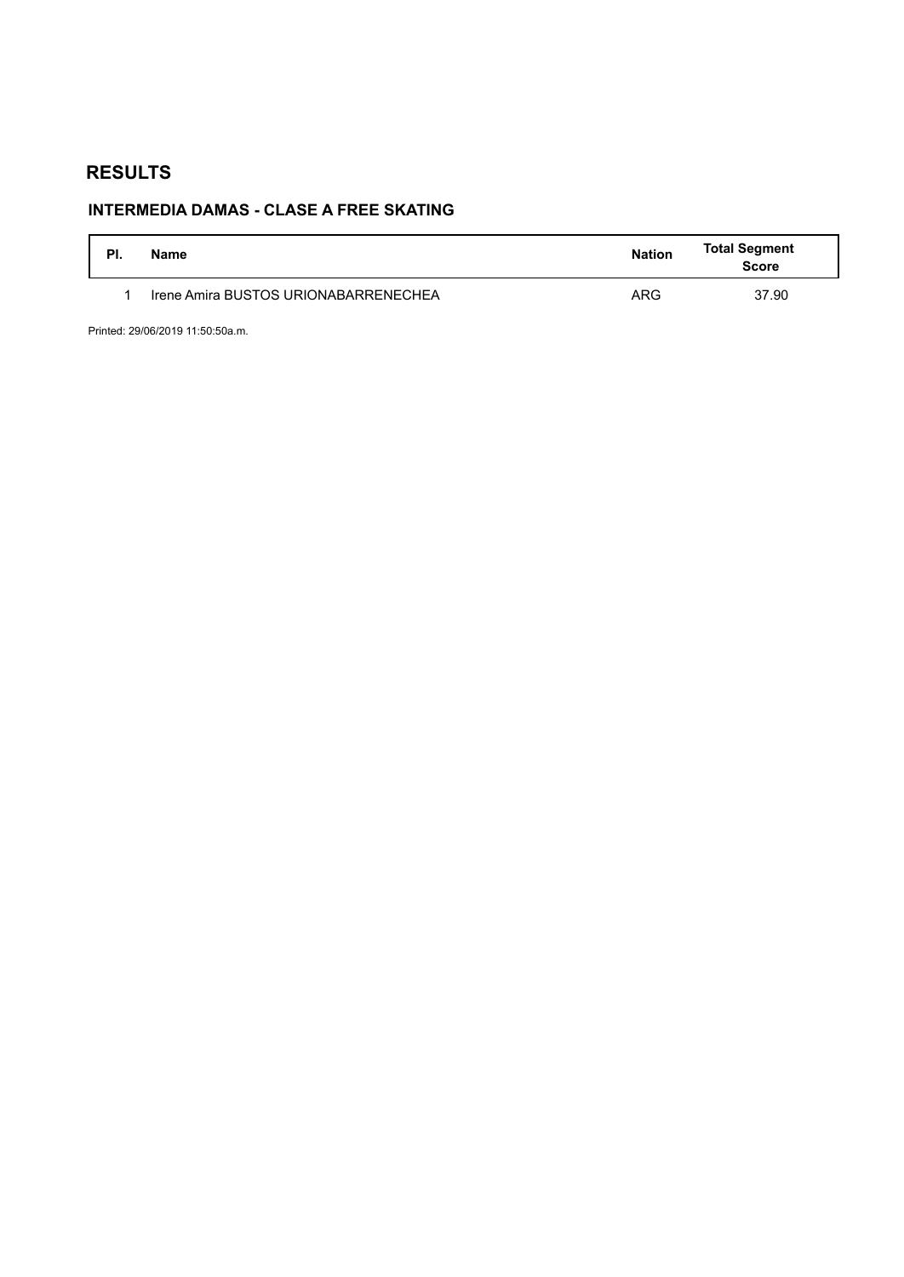# **INTERMEDIA DAMAS - CLASE A FREE SKATING**

| PI. | Name                                 | <b>Nation</b> | <b>Total Segment</b><br><b>Score</b> |
|-----|--------------------------------------|---------------|--------------------------------------|
|     | Irene Amira BUSTOS URIONABARRENECHEA | <b>ARG</b>    | 37.90                                |

Printed: 29/06/2019 11:50:50a.m.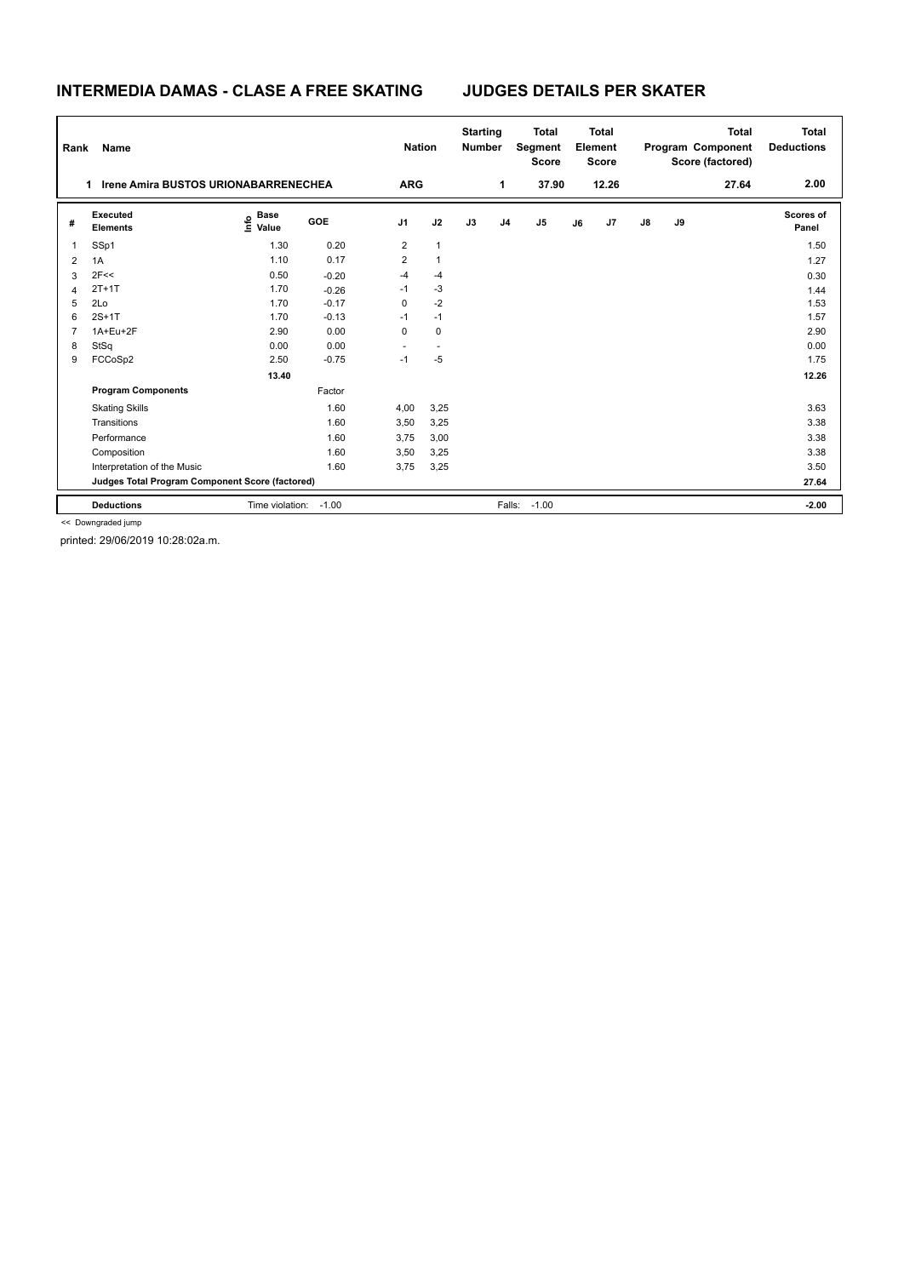### **INTERMEDIA DAMAS - CLASE A FREE SKATING JUDGES DETAILS PER SKATER**

| Rank           | Name                                             |                                  |            | <b>Nation</b>  |              | <b>Starting</b><br><b>Number</b> |                | <b>Total</b><br>Segment<br><b>Score</b> |    | <b>Total</b><br>Element<br><b>Score</b> |               |    | <b>Total</b><br>Program Component<br>Score (factored) | <b>Total</b><br><b>Deductions</b> |
|----------------|--------------------------------------------------|----------------------------------|------------|----------------|--------------|----------------------------------|----------------|-----------------------------------------|----|-----------------------------------------|---------------|----|-------------------------------------------------------|-----------------------------------|
|                | <b>Irene Amira BUSTOS URIONABARRENECHEA</b><br>1 |                                  |            | <b>ARG</b>     |              |                                  | $\mathbf 1$    | 37.90                                   |    | 12.26                                   |               |    | 27.64                                                 | 2.00                              |
| #              | Executed<br><b>Elements</b>                      | <b>Base</b><br>e Base<br>E Value | <b>GOE</b> | J <sub>1</sub> | J2           | J3                               | J <sub>4</sub> | J <sub>5</sub>                          | J6 | J7                                      | $\mathsf{J}8$ | J9 |                                                       | <b>Scores of</b><br>Panel         |
| 1              | SSp1                                             | 1.30                             | 0.20       | 2              | $\mathbf{1}$ |                                  |                |                                         |    |                                         |               |    |                                                       | 1.50                              |
| $\overline{2}$ | 1A                                               | 1.10                             | 0.17       | 2              | $\mathbf{1}$ |                                  |                |                                         |    |                                         |               |    |                                                       | 1.27                              |
| 3              | 2F<<                                             | 0.50                             | $-0.20$    | $-4$           | $-4$         |                                  |                |                                         |    |                                         |               |    |                                                       | 0.30                              |
| $\Delta$       | $2T+1T$                                          | 1.70                             | $-0.26$    | $-1$           | $-3$         |                                  |                |                                         |    |                                         |               |    |                                                       | 1.44                              |
| 5              | 2Lo                                              | 1.70                             | $-0.17$    | 0              | $-2$         |                                  |                |                                         |    |                                         |               |    |                                                       | 1.53                              |
| 6              | $2S+1T$                                          | 1.70                             | $-0.13$    | $-1$           | $-1$         |                                  |                |                                         |    |                                         |               |    |                                                       | 1.57                              |
| 7              | 1A+Eu+2F                                         | 2.90                             | 0.00       | 0              | 0            |                                  |                |                                         |    |                                         |               |    |                                                       | 2.90                              |
| 8              | StSq                                             | 0.00                             | 0.00       | $\sim$         | $\sim$       |                                  |                |                                         |    |                                         |               |    |                                                       | 0.00                              |
| 9              | FCCoSp2                                          | 2.50                             | $-0.75$    | $-1$           | $-5$         |                                  |                |                                         |    |                                         |               |    |                                                       | 1.75                              |
|                |                                                  | 13.40                            |            |                |              |                                  |                |                                         |    |                                         |               |    |                                                       | 12.26                             |
|                | <b>Program Components</b>                        |                                  | Factor     |                |              |                                  |                |                                         |    |                                         |               |    |                                                       |                                   |
|                | <b>Skating Skills</b>                            |                                  | 1.60       | 4,00           | 3,25         |                                  |                |                                         |    |                                         |               |    |                                                       | 3.63                              |
|                | Transitions                                      |                                  | 1.60       | 3,50           | 3,25         |                                  |                |                                         |    |                                         |               |    |                                                       | 3.38                              |
|                | Performance                                      |                                  | 1.60       | 3,75           | 3,00         |                                  |                |                                         |    |                                         |               |    |                                                       | 3.38                              |
|                | Composition                                      |                                  | 1.60       | 3,50           | 3,25         |                                  |                |                                         |    |                                         |               |    |                                                       | 3.38                              |
|                | Interpretation of the Music                      |                                  | 1.60       | 3,75           | 3,25         |                                  |                |                                         |    |                                         |               |    |                                                       | 3.50                              |
|                | Judges Total Program Component Score (factored)  |                                  |            |                |              |                                  |                |                                         |    |                                         |               |    |                                                       | 27.64                             |
|                | <b>Deductions</b>                                | Time violation:                  | $-1.00$    |                |              |                                  | Falls:         | $-1.00$                                 |    |                                         |               |    |                                                       | $-2.00$                           |

<< Downgraded jump

printed: 29/06/2019 10:28:02a.m.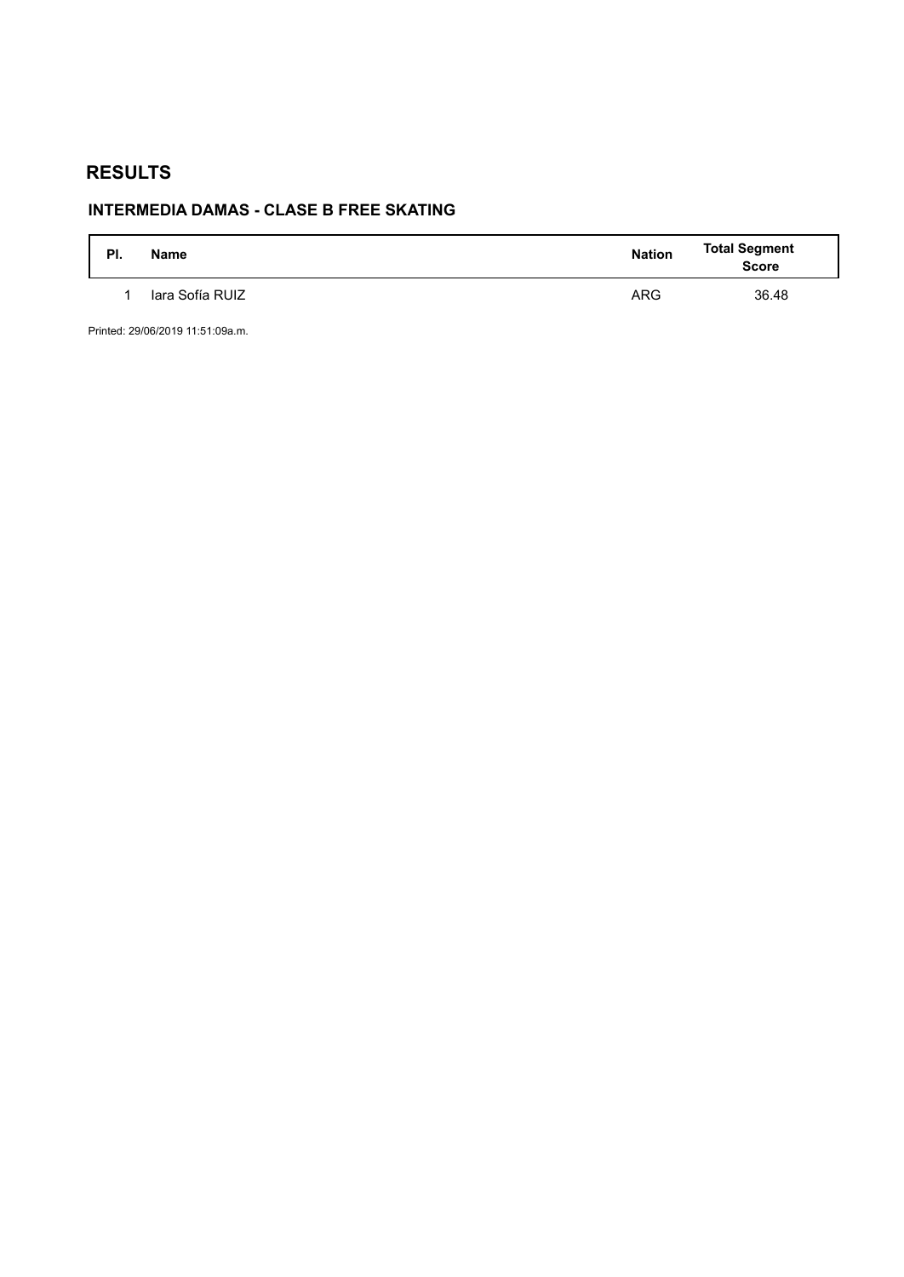# **INTERMEDIA DAMAS - CLASE B FREE SKATING**

| PI. | <b>Name</b>     | <b>Nation</b> | <b>Total Segment</b><br><b>Score</b> |
|-----|-----------------|---------------|--------------------------------------|
|     | lara Sofía RUIZ | <b>ARG</b>    | 36.48                                |

Printed: 29/06/2019 11:51:09a.m.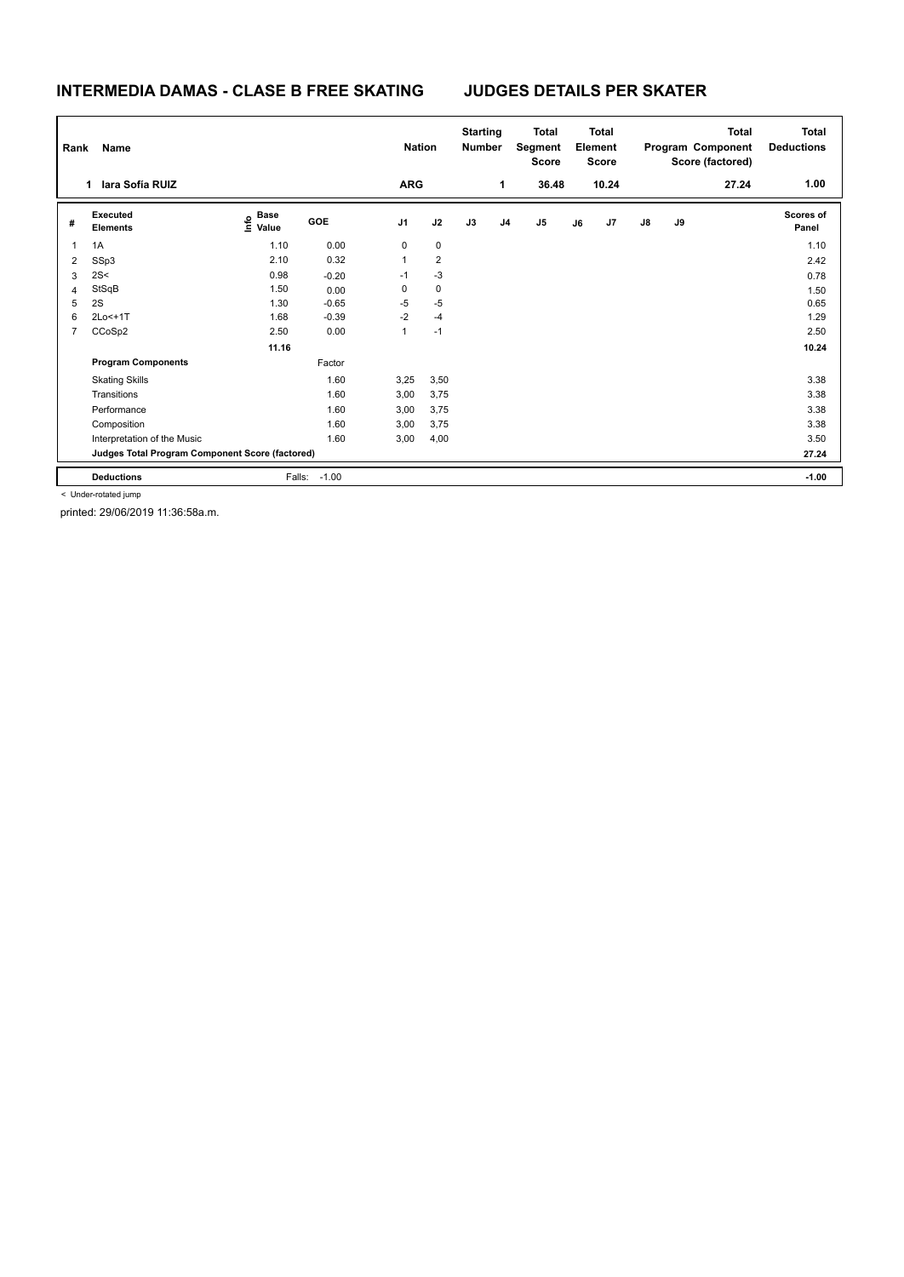### **INTERMEDIA DAMAS - CLASE B FREE SKATING JUDGES DETAILS PER SKATER**

| Rank           | Name                                            |                                  |                   | <b>Nation</b>  |                | <b>Starting</b><br><b>Number</b> |    | <b>Total</b><br>Segment<br><b>Score</b> | <b>Total</b><br>Element<br><b>Score</b> |       |               |    | Total<br>Program Component<br>Score (factored) | <b>Total</b><br><b>Deductions</b> |
|----------------|-------------------------------------------------|----------------------------------|-------------------|----------------|----------------|----------------------------------|----|-----------------------------------------|-----------------------------------------|-------|---------------|----|------------------------------------------------|-----------------------------------|
|                | lara Sofía RUIZ<br>$\mathbf 1$                  |                                  |                   | <b>ARG</b>     |                |                                  | 1  | 36.48                                   |                                         | 10.24 |               |    | 27.24                                          | 1.00                              |
| #              | Executed<br><b>Elements</b>                     | <b>Base</b><br>e Base<br>E Value | GOE               | J <sub>1</sub> | J2             | J3                               | J4 | J5                                      | J6                                      | J7    | $\mathsf{J}8$ | J9 |                                                | <b>Scores of</b><br>Panel         |
|                | 1A                                              | 1.10                             | 0.00              | 0              | $\mathbf 0$    |                                  |    |                                         |                                         |       |               |    |                                                | 1.10                              |
| 2              | SSp3                                            | 2.10                             | 0.32              | $\mathbf{1}$   | $\overline{2}$ |                                  |    |                                         |                                         |       |               |    |                                                | 2.42                              |
| 3              | 2S<                                             | 0.98                             | $-0.20$           | $-1$           | $-3$           |                                  |    |                                         |                                         |       |               |    |                                                | 0.78                              |
| 4              | StSqB                                           | 1.50                             | 0.00              | 0              | $\mathbf 0$    |                                  |    |                                         |                                         |       |               |    |                                                | 1.50                              |
| 5              | 2S                                              | 1.30                             | $-0.65$           | -5             | $-5$           |                                  |    |                                         |                                         |       |               |    |                                                | 0.65                              |
| 6              | 2Lo<+1T                                         | 1.68                             | $-0.39$           | $-2$           | $-4$           |                                  |    |                                         |                                         |       |               |    |                                                | 1.29                              |
| $\overline{7}$ | CCoSp2                                          | 2.50                             | 0.00              | 1              | $-1$           |                                  |    |                                         |                                         |       |               |    |                                                | 2.50                              |
|                |                                                 | 11.16                            |                   |                |                |                                  |    |                                         |                                         |       |               |    |                                                | 10.24                             |
|                | <b>Program Components</b>                       |                                  | Factor            |                |                |                                  |    |                                         |                                         |       |               |    |                                                |                                   |
|                | <b>Skating Skills</b>                           |                                  | 1.60              | 3,25           | 3,50           |                                  |    |                                         |                                         |       |               |    |                                                | 3.38                              |
|                | Transitions                                     |                                  | 1.60              | 3,00           | 3,75           |                                  |    |                                         |                                         |       |               |    |                                                | 3.38                              |
|                | Performance                                     |                                  | 1.60              | 3,00           | 3,75           |                                  |    |                                         |                                         |       |               |    |                                                | 3.38                              |
|                | Composition                                     |                                  | 1.60              | 3,00           | 3,75           |                                  |    |                                         |                                         |       |               |    |                                                | 3.38                              |
|                | Interpretation of the Music                     |                                  | 1.60              | 3,00           | 4,00           |                                  |    |                                         |                                         |       |               |    |                                                | 3.50                              |
|                | Judges Total Program Component Score (factored) |                                  |                   |                |                |                                  |    |                                         |                                         |       |               |    |                                                | 27.24                             |
|                | <b>Deductions</b>                               |                                  | $-1.00$<br>Falls: |                |                |                                  |    |                                         |                                         |       |               |    |                                                | $-1.00$                           |

< Under-rotated jump

printed: 29/06/2019 11:36:58a.m.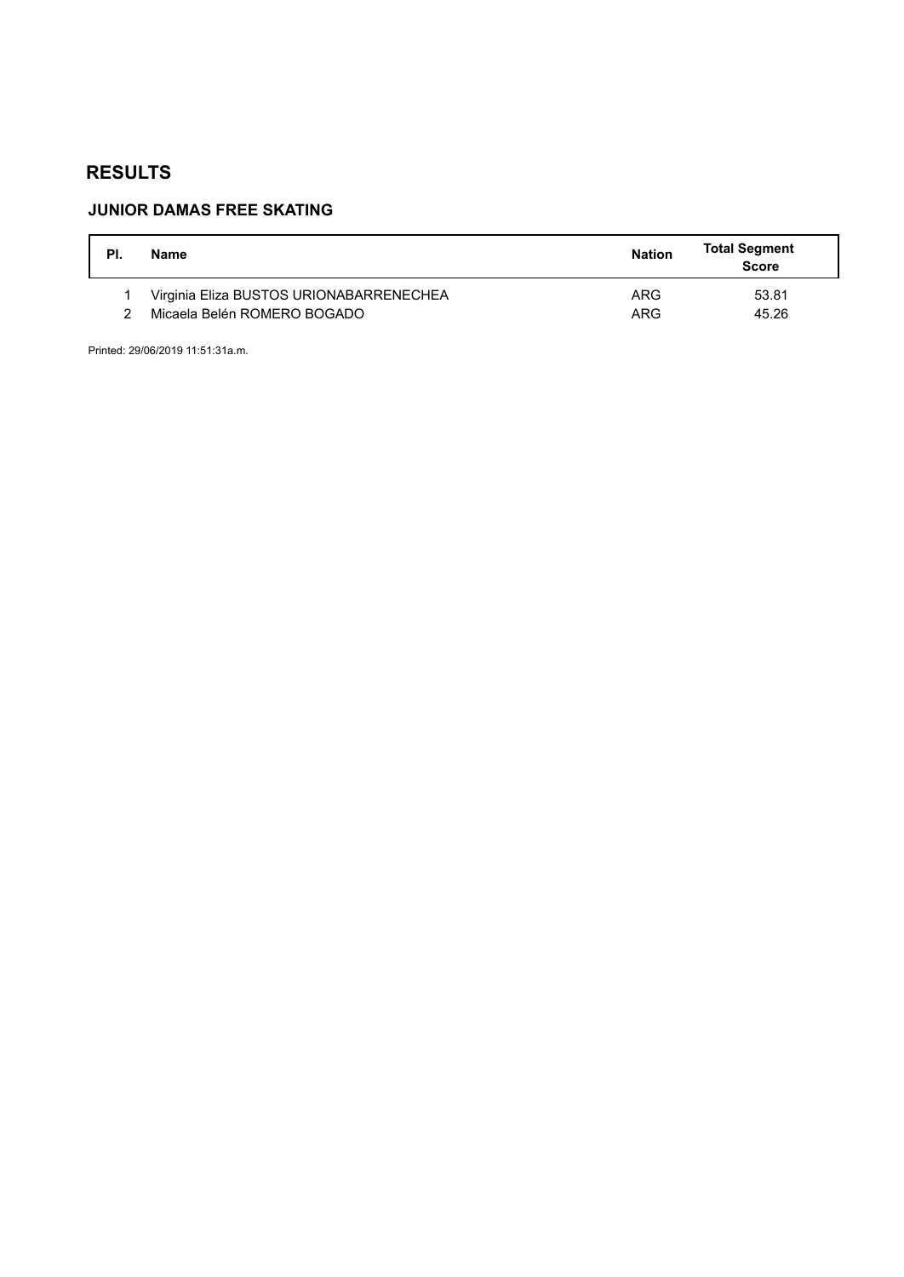## **JUNIOR DAMAS FREE SKATING**

| PI. | Name                                    | <b>Nation</b> | <b>Total Segment</b><br><b>Score</b> |
|-----|-----------------------------------------|---------------|--------------------------------------|
|     | Virginia Eliza BUSTOS URIONABARRENECHEA | ARG           | 53.81                                |
|     | Micaela Belén ROMERO BOGADO             | ARG           | 45.26                                |

Printed: 29/06/2019 11:51:31a.m.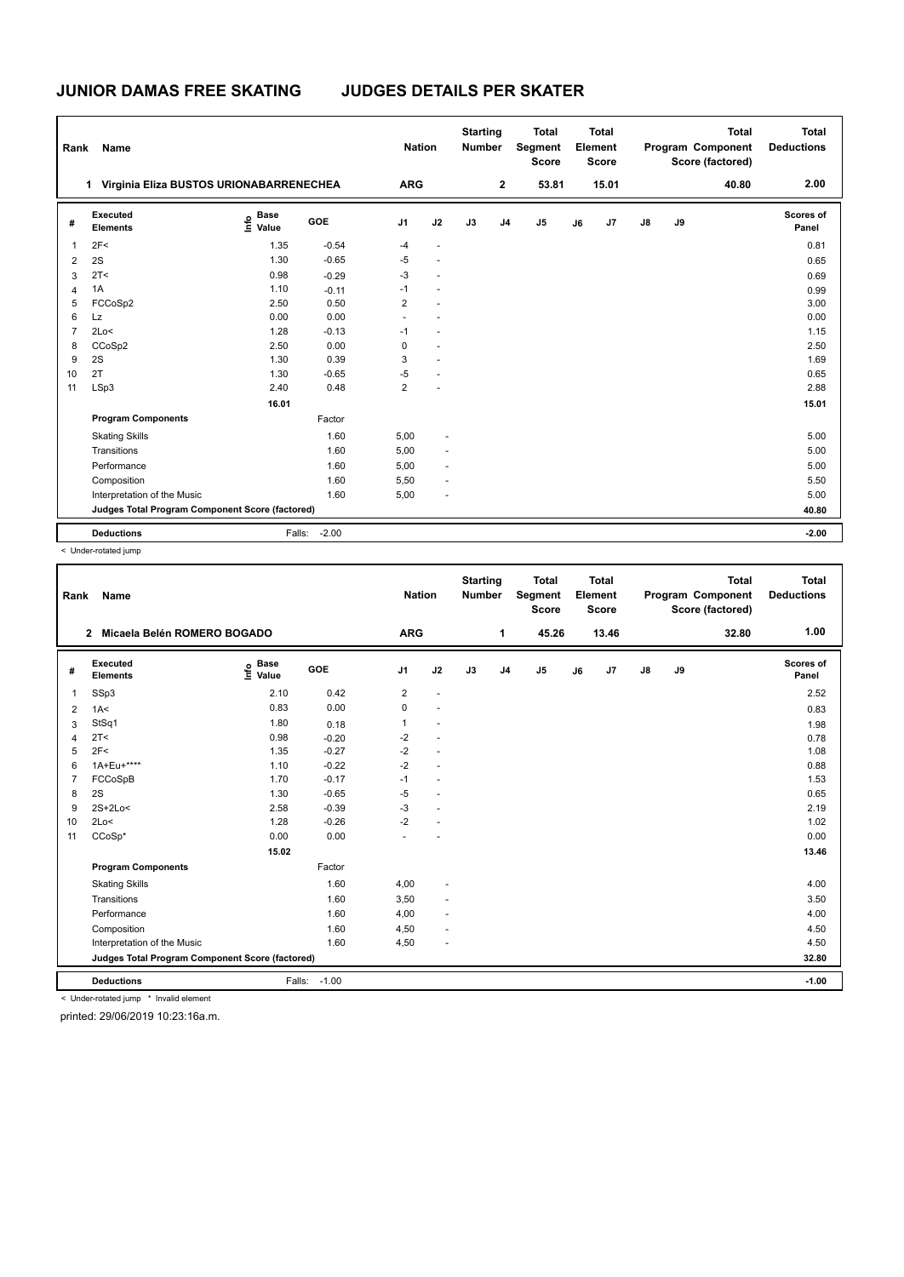### **JUNIOR DAMAS FREE SKATING JUDGES DETAILS PER SKATER**

| Rank           | Name                                            |                            |         | <b>Nation</b>           |                          | <b>Starting</b><br><b>Number</b> |                | <b>Total</b><br>Segment<br><b>Score</b> |    | <b>Total</b><br>Element<br><b>Score</b> |               |    | <b>Total</b><br>Program Component<br>Score (factored) | <b>Total</b><br><b>Deductions</b> |
|----------------|-------------------------------------------------|----------------------------|---------|-------------------------|--------------------------|----------------------------------|----------------|-----------------------------------------|----|-----------------------------------------|---------------|----|-------------------------------------------------------|-----------------------------------|
|                | Virginia Eliza BUSTOS URIONABARRENECHEA<br>1    |                            |         | <b>ARG</b>              |                          |                                  | $\mathbf 2$    | 53.81                                   |    | 15.01                                   |               |    | 40.80                                                 | 2.00                              |
| #              | Executed<br><b>Elements</b>                     | <b>Base</b><br>١m<br>Value | GOE     | J <sub>1</sub>          | J2                       | J3                               | J <sub>4</sub> | J <sub>5</sub>                          | J6 | J7                                      | $\mathsf{J}8$ | J9 |                                                       | Scores of<br>Panel                |
| $\overline{1}$ | 2F<                                             | 1.35                       | $-0.54$ | $-4$                    | $\sim$                   |                                  |                |                                         |    |                                         |               |    |                                                       | 0.81                              |
| $\overline{2}$ | 2S                                              | 1.30                       | $-0.65$ | $-5$                    | $\overline{\phantom{a}}$ |                                  |                |                                         |    |                                         |               |    |                                                       | 0.65                              |
| 3              | 2T <                                            | 0.98                       | $-0.29$ | $-3$                    | $\overline{a}$           |                                  |                |                                         |    |                                         |               |    |                                                       | 0.69                              |
| 4              | 1A                                              | 1.10                       | $-0.11$ | $-1$                    | $\sim$                   |                                  |                |                                         |    |                                         |               |    |                                                       | 0.99                              |
| 5              | FCCoSp2                                         | 2.50                       | 0.50    | $\overline{2}$          | $\overline{a}$           |                                  |                |                                         |    |                                         |               |    |                                                       | 3.00                              |
| 6              | <b>Lz</b>                                       | 0.00                       | 0.00    | $\sim$                  |                          |                                  |                |                                         |    |                                         |               |    |                                                       | 0.00                              |
| $\overline{7}$ | 2Lo<                                            | 1.28                       | $-0.13$ | $-1$                    | $\overline{a}$           |                                  |                |                                         |    |                                         |               |    |                                                       | 1.15                              |
| 8              | CCoSp2                                          | 2.50                       | 0.00    | 0                       | $\overline{a}$           |                                  |                |                                         |    |                                         |               |    |                                                       | 2.50                              |
| 9              | 2S                                              | 1.30                       | 0.39    | 3                       | $\overline{a}$           |                                  |                |                                         |    |                                         |               |    |                                                       | 1.69                              |
| 10             | 2T                                              | 1.30                       | $-0.65$ | $-5$                    |                          |                                  |                |                                         |    |                                         |               |    |                                                       | 0.65                              |
| 11             | LSp3                                            | 2.40                       | 0.48    | $\overline{\mathbf{c}}$ |                          |                                  |                |                                         |    |                                         |               |    |                                                       | 2.88                              |
|                |                                                 | 16.01                      |         |                         |                          |                                  |                |                                         |    |                                         |               |    |                                                       | 15.01                             |
|                | <b>Program Components</b>                       |                            | Factor  |                         |                          |                                  |                |                                         |    |                                         |               |    |                                                       |                                   |
|                | <b>Skating Skills</b>                           |                            | 1.60    | 5,00                    | ٠                        |                                  |                |                                         |    |                                         |               |    |                                                       | 5.00                              |
|                | Transitions                                     |                            | 1.60    | 5,00                    | $\overline{a}$           |                                  |                |                                         |    |                                         |               |    |                                                       | 5.00                              |
|                | Performance                                     |                            | 1.60    | 5,00                    | $\sim$                   |                                  |                |                                         |    |                                         |               |    |                                                       | 5.00                              |
|                | Composition                                     |                            | 1.60    | 5,50                    | $\overline{a}$           |                                  |                |                                         |    |                                         |               |    |                                                       | 5.50                              |
|                | Interpretation of the Music                     |                            | 1.60    | 5,00                    | ÷                        |                                  |                |                                         |    |                                         |               |    |                                                       | 5.00                              |
|                | Judges Total Program Component Score (factored) |                            |         |                         |                          |                                  |                |                                         |    |                                         |               |    |                                                       | 40.80                             |
|                | <b>Deductions</b>                               | Falls:                     | $-2.00$ |                         |                          |                                  |                |                                         |    |                                         |               |    |                                                       | $-2.00$                           |

< Under-rotated jump

| Rank           | Name                                            |                                  |              | <b>Nation</b>  |                      | <b>Starting</b><br><b>Number</b> |                | <b>Total</b><br>Segment<br><b>Score</b> |    | <b>Total</b><br>Element<br><b>Score</b> |               |    | <b>Total</b><br>Program Component<br>Score (factored) | <b>Total</b><br><b>Deductions</b> |
|----------------|-------------------------------------------------|----------------------------------|--------------|----------------|----------------------|----------------------------------|----------------|-----------------------------------------|----|-----------------------------------------|---------------|----|-------------------------------------------------------|-----------------------------------|
|                | Micaela Belén ROMERO BOGADO<br>$\mathbf{2}$     |                                  |              | <b>ARG</b>     |                      |                                  | 1              | 45.26                                   |    | 13.46                                   |               |    | 32.80                                                 | 1.00                              |
| #              | Executed<br><b>Elements</b>                     | <b>Base</b><br>e Base<br>⊆ Value | GOE          | J <sub>1</sub> | J2                   | J3                               | J <sub>4</sub> | J <sub>5</sub>                          | J6 | J7                                      | $\mathsf{J}8$ | J9 |                                                       | Scores of<br>Panel                |
| $\mathbf{1}$   | SSp3                                            | 2.10                             | 0.42         | 2              | ÷,                   |                                  |                |                                         |    |                                         |               |    |                                                       | 2.52                              |
| 2              | 1A<                                             | 0.83                             | 0.00         | 0              | ÷                    |                                  |                |                                         |    |                                         |               |    |                                                       | 0.83                              |
| 3              | StSq1                                           | 1.80                             | 0.18         | 1              | $\ddot{\phantom{1}}$ |                                  |                |                                         |    |                                         |               |    |                                                       | 1.98                              |
| 4              | 2T <                                            | 0.98                             | $-0.20$      | -2             | $\ddot{\phantom{1}}$ |                                  |                |                                         |    |                                         |               |    |                                                       | 0.78                              |
| 5              | 2F<                                             | 1.35                             | $-0.27$      | $-2$           | $\overline{a}$       |                                  |                |                                         |    |                                         |               |    |                                                       | 1.08                              |
| 6              | 1A+Eu+****                                      | 1.10                             | $-0.22$      | $-2$           | ä,                   |                                  |                |                                         |    |                                         |               |    |                                                       | 0.88                              |
| $\overline{7}$ | FCCoSpB                                         | 1.70                             | $-0.17$      | $-1$           | $\overline{a}$       |                                  |                |                                         |    |                                         |               |    |                                                       | 1.53                              |
| 8              | 2S                                              | 1.30                             | $-0.65$      | $-5$           | ÷                    |                                  |                |                                         |    |                                         |               |    |                                                       | 0.65                              |
| 9              | 2S+2Lo<                                         | 2.58                             | $-0.39$      | $-3$           | $\sim$               |                                  |                |                                         |    |                                         |               |    |                                                       | 2.19                              |
| 10             | 2Lo<                                            | 1.28                             | $-0.26$      | $-2$           | ÷,                   |                                  |                |                                         |    |                                         |               |    |                                                       | 1.02                              |
| 11             | $CCoSp*$                                        | 0.00                             | 0.00         |                |                      |                                  |                |                                         |    |                                         |               |    |                                                       | 0.00                              |
|                |                                                 | 15.02                            |              |                |                      |                                  |                |                                         |    |                                         |               |    |                                                       | 13.46                             |
|                | <b>Program Components</b>                       |                                  | Factor       |                |                      |                                  |                |                                         |    |                                         |               |    |                                                       |                                   |
|                | <b>Skating Skills</b>                           |                                  | 1.60         | 4,00           |                      |                                  |                |                                         |    |                                         |               |    |                                                       | 4.00                              |
|                | Transitions                                     |                                  | 1.60         | 3,50           | $\overline{a}$       |                                  |                |                                         |    |                                         |               |    |                                                       | 3.50                              |
|                | Performance                                     |                                  | 1.60         | 4,00           | $\overline{a}$       |                                  |                |                                         |    |                                         |               |    |                                                       | 4.00                              |
|                | Composition                                     |                                  | 1.60         | 4,50           | $\overline{a}$       |                                  |                |                                         |    |                                         |               |    |                                                       | 4.50                              |
|                | Interpretation of the Music                     |                                  | 1.60         | 4,50           | $\overline{a}$       |                                  |                |                                         |    |                                         |               |    |                                                       | 4.50                              |
|                | Judges Total Program Component Score (factored) |                                  |              |                |                      |                                  |                |                                         |    |                                         |               |    |                                                       | 32.80                             |
|                | <b>Deductions</b>                               |                                  | Falls: -1.00 |                |                      |                                  |                |                                         |    |                                         |               |    |                                                       | $-1.00$                           |
|                | < Under-rotated jump * Invalid element          |                                  |              |                |                      |                                  |                |                                         |    |                                         |               |    |                                                       |                                   |

printed: 29/06/2019 10:23:16a.m.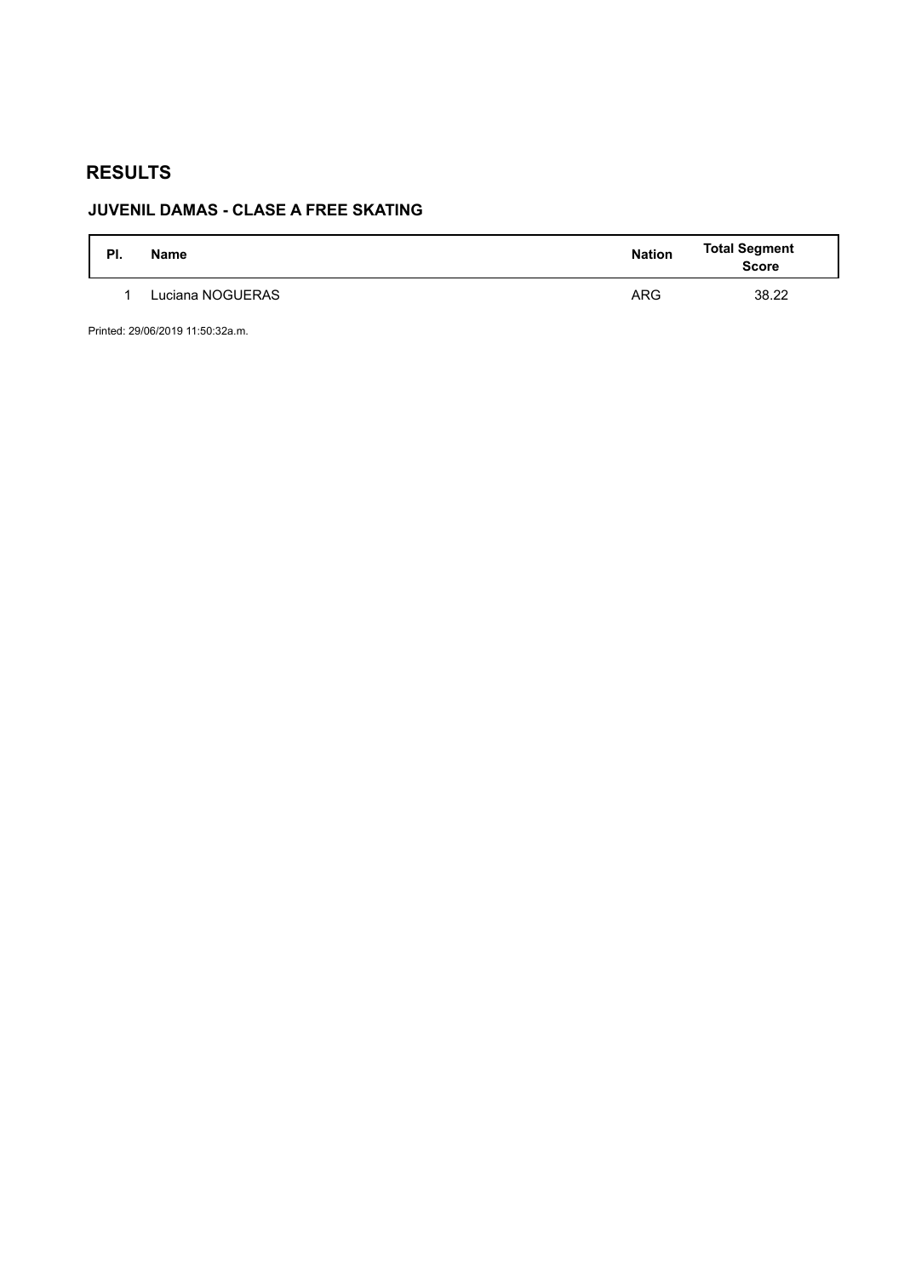# **JUVENIL DAMAS - CLASE A FREE SKATING**

| PI. | <b>Name</b>      | <b>Nation</b> | <b>Total Segment</b><br><b>Score</b> |
|-----|------------------|---------------|--------------------------------------|
|     | Luciana NOGUERAS | <b>ARG</b>    | 38.22                                |

Printed: 29/06/2019 11:50:32a.m.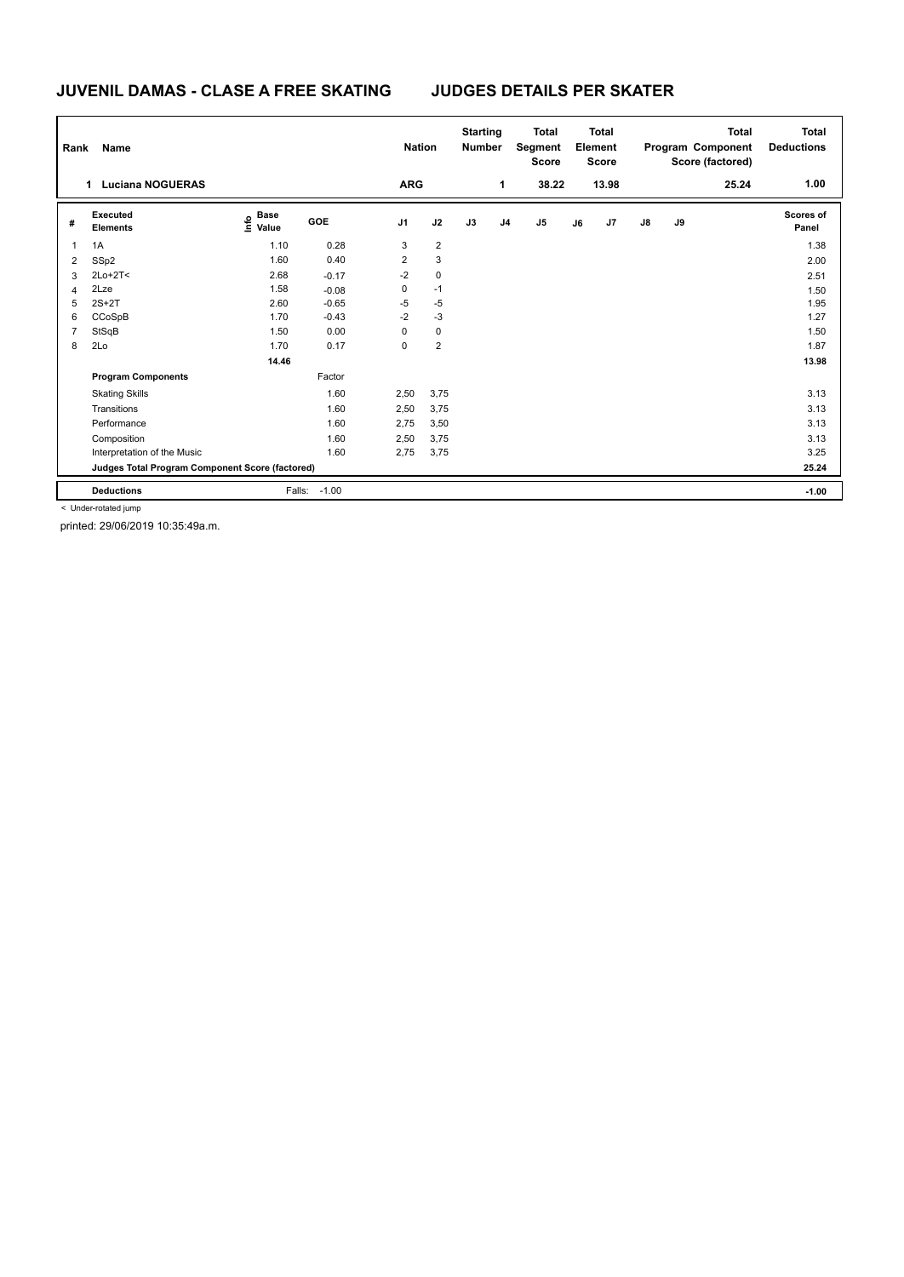## **JUVENIL DAMAS - CLASE A FREE SKATING JUDGES DETAILS PER SKATER**

| Rank | Name                                            |                                  |         | <b>Nation</b>           |                | <b>Starting</b><br><b>Number</b> |                | <b>Total</b><br>Segment<br><b>Score</b> |    | <b>Total</b><br>Element<br><b>Score</b> |               |    | <b>Total</b><br>Program Component<br>Score (factored) | <b>Total</b><br><b>Deductions</b> |
|------|-------------------------------------------------|----------------------------------|---------|-------------------------|----------------|----------------------------------|----------------|-----------------------------------------|----|-----------------------------------------|---------------|----|-------------------------------------------------------|-----------------------------------|
|      | <b>Luciana NOGUERAS</b><br>1                    |                                  |         | <b>ARG</b>              |                |                                  | 1              | 38.22                                   |    | 13.98                                   |               |    | 25.24                                                 | 1.00                              |
| #    | Executed<br><b>Elements</b>                     | <b>Base</b><br>e Base<br>E Value | GOE     | J <sub>1</sub>          | J2             | J3                               | J <sub>4</sub> | J <sub>5</sub>                          | J6 | J7                                      | $\mathsf{J}8$ | J9 |                                                       | Scores of<br>Panel                |
| 1    | 1A                                              | 1.10                             | 0.28    | 3                       | $\overline{2}$ |                                  |                |                                         |    |                                         |               |    |                                                       | 1.38                              |
| 2    | SSp2                                            | 1.60                             | 0.40    | $\overline{\mathbf{c}}$ | 3              |                                  |                |                                         |    |                                         |               |    |                                                       | 2.00                              |
| 3    | $2Lo+2T<$                                       | 2.68                             | $-0.17$ | $-2$                    | 0              |                                  |                |                                         |    |                                         |               |    |                                                       | 2.51                              |
| 4    | 2Lze                                            | 1.58                             | $-0.08$ | 0                       | $-1$           |                                  |                |                                         |    |                                         |               |    |                                                       | 1.50                              |
| 5    | $2S+2T$                                         | 2.60                             | $-0.65$ | $-5$                    | $-5$           |                                  |                |                                         |    |                                         |               |    |                                                       | 1.95                              |
| 6    | CCoSpB                                          | 1.70                             | $-0.43$ | $-2$                    | $-3$           |                                  |                |                                         |    |                                         |               |    |                                                       | 1.27                              |
| 7    | StSqB                                           | 1.50                             | 0.00    | 0                       | 0              |                                  |                |                                         |    |                                         |               |    |                                                       | 1.50                              |
| 8    | 2Lo                                             | 1.70                             | 0.17    | 0                       | $\overline{2}$ |                                  |                |                                         |    |                                         |               |    |                                                       | 1.87                              |
|      |                                                 | 14.46                            |         |                         |                |                                  |                |                                         |    |                                         |               |    |                                                       | 13.98                             |
|      | <b>Program Components</b>                       |                                  | Factor  |                         |                |                                  |                |                                         |    |                                         |               |    |                                                       |                                   |
|      | <b>Skating Skills</b>                           |                                  | 1.60    | 2,50                    | 3,75           |                                  |                |                                         |    |                                         |               |    |                                                       | 3.13                              |
|      | Transitions                                     |                                  | 1.60    | 2,50                    | 3,75           |                                  |                |                                         |    |                                         |               |    |                                                       | 3.13                              |
|      | Performance                                     |                                  | 1.60    | 2,75                    | 3,50           |                                  |                |                                         |    |                                         |               |    |                                                       | 3.13                              |
|      | Composition                                     |                                  | 1.60    | 2,50                    | 3,75           |                                  |                |                                         |    |                                         |               |    |                                                       | 3.13                              |
|      | Interpretation of the Music                     |                                  | 1.60    | 2,75                    | 3,75           |                                  |                |                                         |    |                                         |               |    |                                                       | 3.25                              |
|      | Judges Total Program Component Score (factored) |                                  |         |                         |                |                                  |                |                                         |    |                                         |               |    |                                                       | 25.24                             |
|      | <b>Deductions</b>                               | Falls:                           | $-1.00$ |                         |                |                                  |                |                                         |    |                                         |               |    |                                                       | $-1.00$                           |

< Under-rotated jump

printed: 29/06/2019 10:35:49a.m.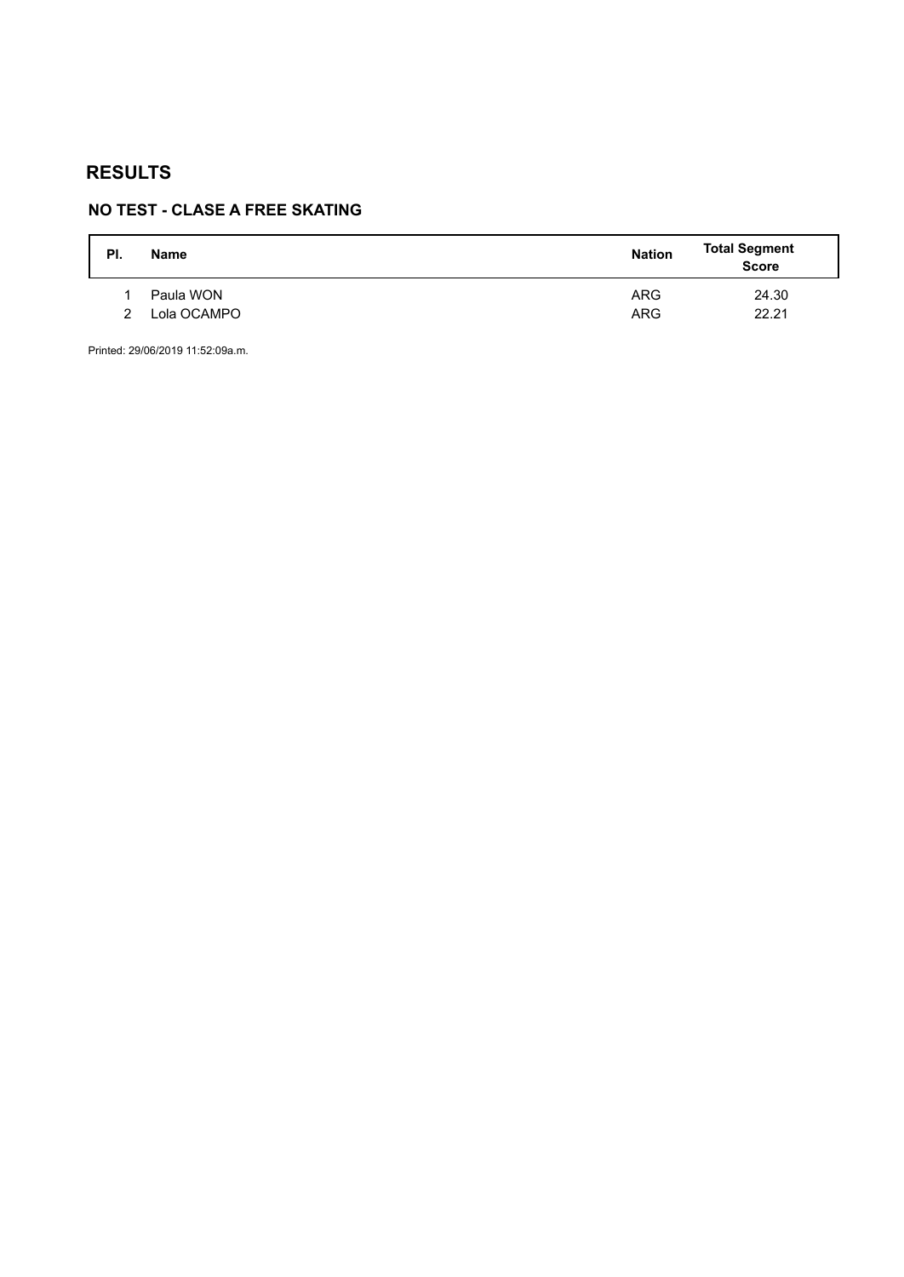# **NO TEST - CLASE A FREE SKATING**

| PI. | <b>Name</b> | <b>Nation</b> | <b>Total Segment</b><br><b>Score</b> |
|-----|-------------|---------------|--------------------------------------|
|     | Paula WON   | <b>ARG</b>    | 24.30                                |
| 2   | Lola OCAMPO | <b>ARG</b>    | 22.21                                |
|     |             |               |                                      |

Printed: 29/06/2019 11:52:09a.m.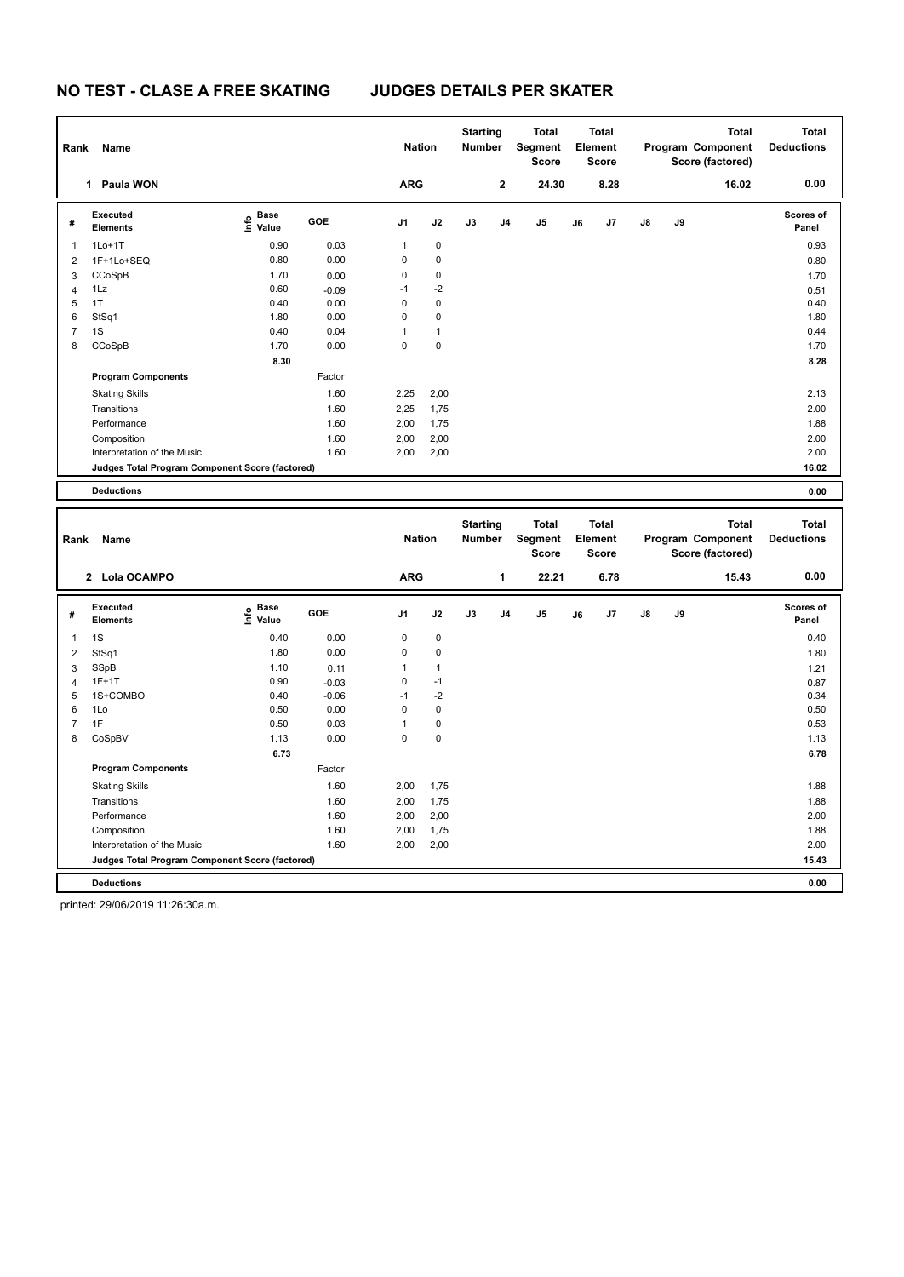| Rank           | Name                                            |                    |         | <b>Nation</b>  |              | <b>Starting</b><br><b>Number</b> |                | <b>Total</b><br><b>Segment</b><br><b>Score</b> |    | <b>Total</b><br>Element<br><b>Score</b> |    |    | <b>Total</b><br>Program Component<br>Score (factored)        | <b>Total</b><br><b>Deductions</b> |
|----------------|-------------------------------------------------|--------------------|---------|----------------|--------------|----------------------------------|----------------|------------------------------------------------|----|-----------------------------------------|----|----|--------------------------------------------------------------|-----------------------------------|
|                | Paula WON<br>1                                  |                    |         | <b>ARG</b>     |              |                                  | $\mathbf 2$    | 24.30                                          |    | 8.28                                    |    |    | 16.02                                                        | 0.00                              |
| #              | Executed<br><b>Elements</b>                     | e Base<br>E Value  | GOE     | J <sub>1</sub> | J2           | J3                               | J <sub>4</sub> | J <sub>5</sub>                                 | J6 | J <sub>7</sub>                          | J8 | J9 |                                                              | <b>Scores of</b><br>Panel         |
| 1              | $1Lo+1T$                                        | 0.90               | 0.03    | 1              | 0            |                                  |                |                                                |    |                                         |    |    |                                                              | 0.93                              |
| $\overline{2}$ | 1F+1Lo+SEQ                                      | 0.80               | 0.00    | 0              | 0            |                                  |                |                                                |    |                                         |    |    |                                                              | 0.80                              |
| 3              | CCoSpB                                          | 1.70               | 0.00    | 0              | 0            |                                  |                |                                                |    |                                         |    |    |                                                              | 1.70                              |
| $\overline{4}$ | 1Lz                                             | 0.60               | $-0.09$ | $-1$           | $-2$         |                                  |                |                                                |    |                                         |    |    |                                                              | 0.51                              |
| 5              | 1T                                              | 0.40               | 0.00    | 0              | 0            |                                  |                |                                                |    |                                         |    |    |                                                              | 0.40                              |
| 6              | StSq1                                           | 1.80               | 0.00    | 0              | 0            |                                  |                |                                                |    |                                         |    |    |                                                              | 1.80                              |
| $\overline{7}$ | 1S                                              | 0.40               | 0.04    | 1              | $\mathbf{1}$ |                                  |                |                                                |    |                                         |    |    |                                                              | 0.44                              |
| 8              | CCoSpB                                          | 1.70               | 0.00    | 0              | $\mathbf 0$  |                                  |                |                                                |    |                                         |    |    |                                                              | 1.70                              |
|                |                                                 | 8.30               |         |                |              |                                  |                |                                                |    |                                         |    |    |                                                              | 8.28                              |
|                | <b>Program Components</b>                       |                    | Factor  |                |              |                                  |                |                                                |    |                                         |    |    |                                                              |                                   |
|                | <b>Skating Skills</b>                           |                    | 1.60    | 2,25           | 2,00         |                                  |                |                                                |    |                                         |    |    |                                                              | 2.13                              |
|                | Transitions                                     |                    | 1.60    | 2,25           | 1,75         |                                  |                |                                                |    |                                         |    |    |                                                              | 2.00                              |
|                | Performance                                     |                    | 1.60    | 2,00           | 1,75         |                                  |                |                                                |    |                                         |    |    |                                                              | 1.88                              |
|                | Composition                                     |                    | 1.60    | 2,00           | 2,00         |                                  |                |                                                |    |                                         |    |    |                                                              | 2.00                              |
|                | Interpretation of the Music                     |                    | 1.60    | 2,00           | 2,00         |                                  |                |                                                |    |                                         |    |    |                                                              | 2.00                              |
|                | Judges Total Program Component Score (factored) |                    |         |                |              |                                  |                |                                                |    |                                         |    |    |                                                              | 16.02                             |
|                |                                                 |                    |         |                |              |                                  |                |                                                |    |                                         |    |    |                                                              |                                   |
|                | <b>Deductions</b>                               |                    |         |                |              |                                  |                |                                                |    |                                         |    |    |                                                              | 0.00                              |
|                |                                                 |                    |         |                |              |                                  |                |                                                |    |                                         |    |    |                                                              |                                   |
| Rank           | Name                                            |                    |         | <b>Nation</b>  |              | <b>Starting</b><br><b>Number</b> |                | <b>Total</b><br>Segment<br><b>Score</b>        |    | <b>Total</b><br>Element<br><b>Score</b> |    |    | <b>Total</b><br><b>Program Component</b><br>Score (factored) | <b>Total</b><br><b>Deductions</b> |
|                | 2 Lola OCAMPO                                   |                    |         | <b>ARG</b>     |              |                                  | 1              | 22.21                                          |    | 6.78                                    |    |    | 15.43                                                        | 0.00                              |
| #              | <b>Executed</b><br><b>Elements</b>              | $\frac{e}{E}$ Base | GOE     | J <sub>1</sub> | J2           | J3                               | J4             | J <sub>5</sub>                                 | J6 | J7                                      | J8 | J9 |                                                              | <b>Scores of</b><br>Panel         |
| 1              | 1S                                              | 0.40               | 0.00    | 0              | 0            |                                  |                |                                                |    |                                         |    |    |                                                              | 0.40                              |

 StSq1 1.80 0.00 0 0 1.80 SSpB 1.21 1.10 0.11 1 1 4 1F+1T 0.90 0.90 0.03 0 -1 0.87 1S+COMBO 0.40 -0.06 -1 -2 0.34 1Lo 0.50 0.00 0 0 0.50 7 1F 0.53 0.50 0.03 1 0 0.53 0.53 0.53 0.53 CoSpBV 1.13 0.00 0 0 1.13

Transitions 1.60 2,00 1,75 1.88 Performance 1.60 2,00 2,00 2.00 Composition 1.60 2,00 1,75 1.88 Interpretation of the Music 1.60 2,00 2,00 2.00

**Deductions 0.00 Judges Total Program Component Score (factored) 15.43**

 **6.73 6.78**

1.60 1.88

printed: 29/06/2019 11:26:30a.m.

**Program Components** 

Skating Skills 2,000 1,60

Factor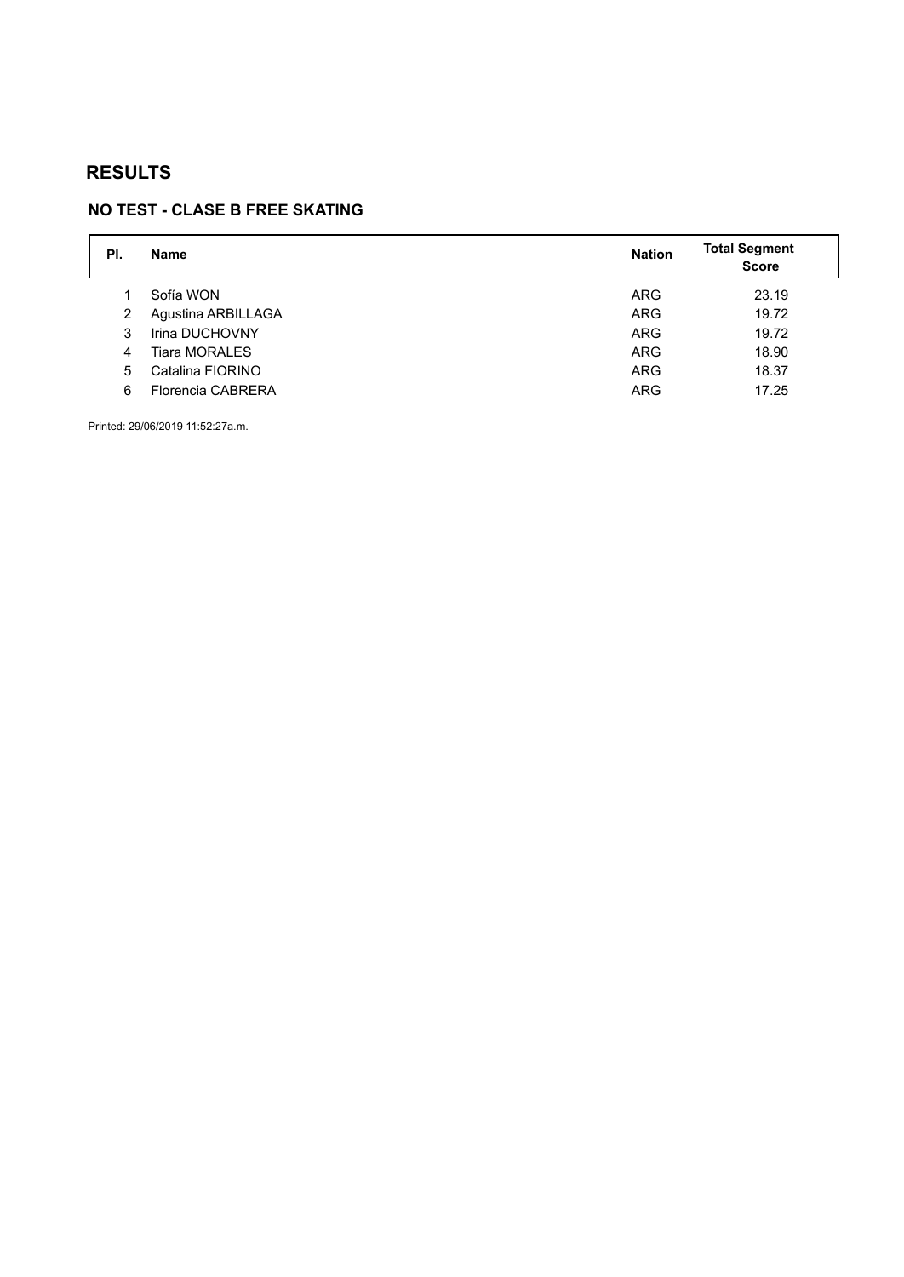# **NO TEST - CLASE B FREE SKATING**

| PI. | <b>Name</b>          | <b>Nation</b> | <b>Total Segment</b><br><b>Score</b> |
|-----|----------------------|---------------|--------------------------------------|
|     | Sofía WON            | <b>ARG</b>    | 23.19                                |
| 2   | Agustina ARBILLAGA   | <b>ARG</b>    | 19.72                                |
| 3   | Irina DUCHOVNY       | <b>ARG</b>    | 19.72                                |
| 4   | <b>Tiara MORALES</b> | <b>ARG</b>    | 18.90                                |
| 5   | Catalina FIORINO     | <b>ARG</b>    | 18.37                                |
| 6   | Florencia CABRERA    | <b>ARG</b>    | 17.25                                |

Printed: 29/06/2019 11:52:27a.m.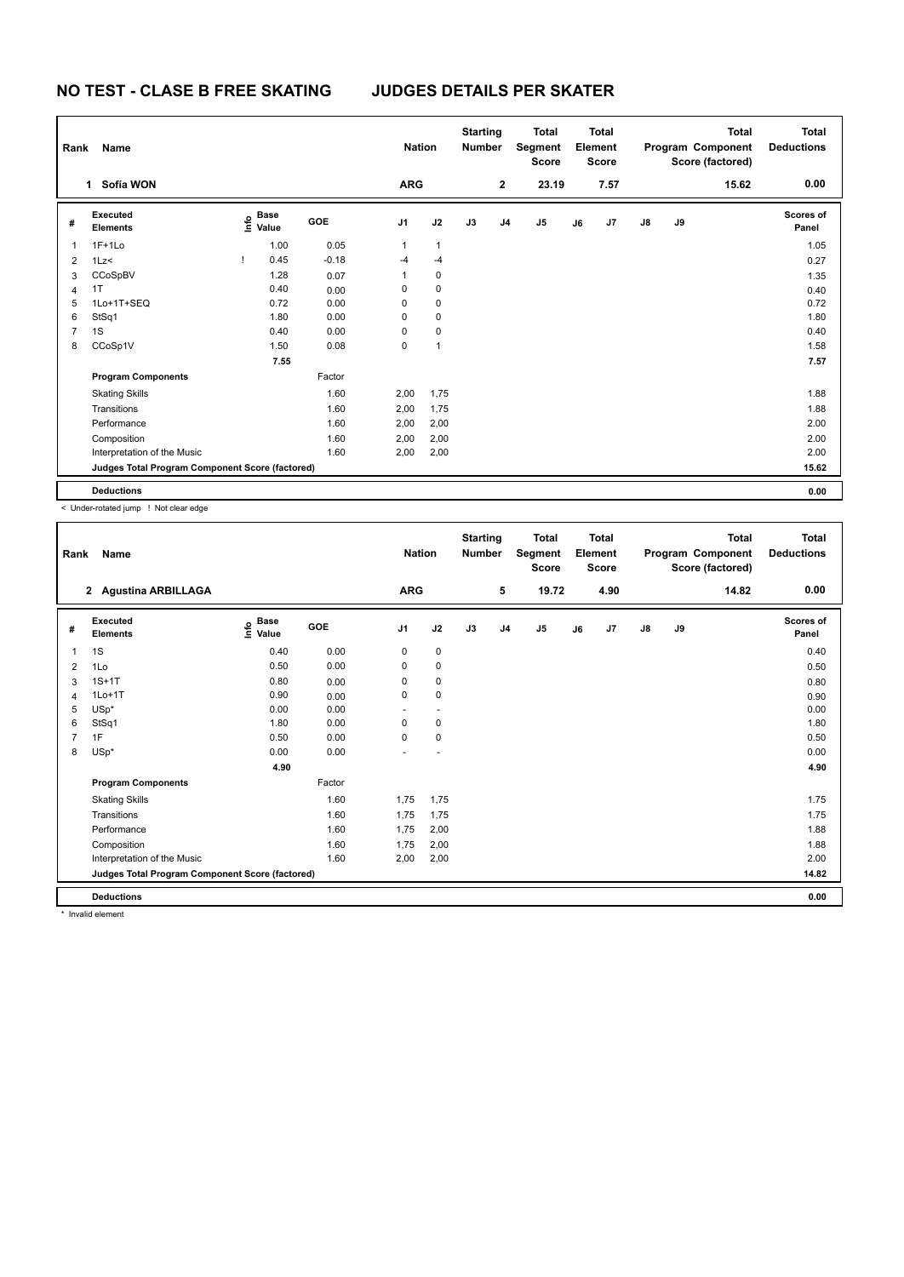| Rank           | Name                                            |                                  |         | <b>Nation</b>  |                | <b>Starting</b><br><b>Number</b> |                | Total<br>Segment<br><b>Score</b> |    | <b>Total</b><br>Element<br><b>Score</b> |               |    | <b>Total</b><br>Program Component<br>Score (factored) | <b>Total</b><br><b>Deductions</b> |
|----------------|-------------------------------------------------|----------------------------------|---------|----------------|----------------|----------------------------------|----------------|----------------------------------|----|-----------------------------------------|---------------|----|-------------------------------------------------------|-----------------------------------|
|                | Sofía WON<br>1                                  |                                  |         | <b>ARG</b>     |                |                                  | $\mathbf 2$    | 23.19                            |    | 7.57                                    |               |    | 15.62                                                 | 0.00                              |
| #              | Executed<br><b>Elements</b>                     | <b>Base</b><br>e Base<br>E Value | GOE     | J <sub>1</sub> | J2             | J3                               | J <sub>4</sub> | J5                               | J6 | J7                                      | $\mathsf{J}8$ | J9 |                                                       | <b>Scores of</b><br>Panel         |
| $\mathbf{1}$   | $1F+1Lo$                                        | 1.00                             | 0.05    | $\mathbf{1}$   | $\mathbf{1}$   |                                  |                |                                  |    |                                         |               |    |                                                       | 1.05                              |
| $\overline{2}$ | 1Lz<                                            | 0.45                             | $-0.18$ | $-4$           | $-4$           |                                  |                |                                  |    |                                         |               |    |                                                       | 0.27                              |
| 3              | CCoSpBV                                         | 1.28                             | 0.07    | 1              | 0              |                                  |                |                                  |    |                                         |               |    |                                                       | 1.35                              |
| 4              | 1T                                              | 0.40                             | 0.00    | 0              | 0              |                                  |                |                                  |    |                                         |               |    |                                                       | 0.40                              |
| 5              | 1Lo+1T+SEQ                                      | 0.72                             | 0.00    | 0              | $\mathbf 0$    |                                  |                |                                  |    |                                         |               |    |                                                       | 0.72                              |
| 6              | StSq1                                           | 1.80                             | 0.00    | 0              | $\mathbf 0$    |                                  |                |                                  |    |                                         |               |    |                                                       | 1.80                              |
| $\overline{7}$ | 1S                                              | 0.40                             | 0.00    | $\Omega$       | $\pmb{0}$      |                                  |                |                                  |    |                                         |               |    |                                                       | 0.40                              |
| 8              | CCoSp1V                                         | 1.50                             | 0.08    | 0              | $\overline{1}$ |                                  |                |                                  |    |                                         |               |    |                                                       | 1.58                              |
|                |                                                 | 7.55                             |         |                |                |                                  |                |                                  |    |                                         |               |    |                                                       | 7.57                              |
|                | <b>Program Components</b>                       |                                  | Factor  |                |                |                                  |                |                                  |    |                                         |               |    |                                                       |                                   |
|                | <b>Skating Skills</b>                           |                                  | 1.60    | 2,00           | 1,75           |                                  |                |                                  |    |                                         |               |    |                                                       | 1.88                              |
|                | Transitions                                     |                                  | 1.60    | 2,00           | 1,75           |                                  |                |                                  |    |                                         |               |    |                                                       | 1.88                              |
|                | Performance                                     |                                  | 1.60    | 2,00           | 2,00           |                                  |                |                                  |    |                                         |               |    |                                                       | 2.00                              |
|                | Composition                                     |                                  | 1.60    | 2,00           | 2,00           |                                  |                |                                  |    |                                         |               |    |                                                       | 2.00                              |
|                | Interpretation of the Music                     |                                  | 1.60    | 2,00           | 2,00           |                                  |                |                                  |    |                                         |               |    |                                                       | 2.00                              |
|                | Judges Total Program Component Score (factored) |                                  |         |                |                |                                  |                |                                  |    |                                         |               |    |                                                       | 15.62                             |
|                | <b>Deductions</b>                               |                                  |         |                |                |                                  |                |                                  |    |                                         |               |    |                                                       | 0.00                              |

< Under-rotated jump ! Not clear edge

| Rank         | Name                                            |                              |            | <b>Nation</b>  |      | <b>Starting</b><br><b>Number</b> |                | <b>Total</b><br>Segment<br><b>Score</b> |    | <b>Total</b><br>Element<br><b>Score</b> |    |    | <b>Total</b><br>Program Component<br>Score (factored) | <b>Total</b><br><b>Deductions</b> |
|--------------|-------------------------------------------------|------------------------------|------------|----------------|------|----------------------------------|----------------|-----------------------------------------|----|-----------------------------------------|----|----|-------------------------------------------------------|-----------------------------------|
|              | 2 Agustina ARBILLAGA                            |                              |            | <b>ARG</b>     |      |                                  | 5              | 19.72                                   |    | 4.90                                    |    |    | 14.82                                                 | 0.00                              |
| #            | Executed<br><b>Elements</b>                     | <b>Base</b><br>١nfo<br>Value | <b>GOE</b> | J <sub>1</sub> | J2   | J3                               | J <sub>4</sub> | J <sub>5</sub>                          | J6 | J7                                      | J8 | J9 |                                                       | Scores of<br>Panel                |
| $\mathbf{1}$ | 1S                                              | 0.40                         | 0.00       | 0              | 0    |                                  |                |                                         |    |                                         |    |    |                                                       | 0.40                              |
| 2            | 1Lo                                             | 0.50                         | 0.00       | 0              | 0    |                                  |                |                                         |    |                                         |    |    |                                                       | 0.50                              |
| 3            | $1S+1T$                                         | 0.80                         | 0.00       | 0              | 0    |                                  |                |                                         |    |                                         |    |    |                                                       | 0.80                              |
| 4            | $1Lo+1T$                                        | 0.90                         | 0.00       | $\Omega$       | 0    |                                  |                |                                         |    |                                         |    |    |                                                       | 0.90                              |
| 5            | $USp*$                                          | 0.00                         | 0.00       |                |      |                                  |                |                                         |    |                                         |    |    |                                                       | 0.00                              |
| 6            | StSq1                                           | 1.80                         | 0.00       | $\Omega$       | 0    |                                  |                |                                         |    |                                         |    |    |                                                       | 1.80                              |
| 7            | 1F                                              | 0.50                         | 0.00       | $\Omega$       | 0    |                                  |                |                                         |    |                                         |    |    |                                                       | 0.50                              |
| 8            | $USp*$                                          | 0.00                         | 0.00       |                |      |                                  |                |                                         |    |                                         |    |    |                                                       | 0.00                              |
|              |                                                 | 4.90                         |            |                |      |                                  |                |                                         |    |                                         |    |    |                                                       | 4.90                              |
|              | <b>Program Components</b>                       |                              | Factor     |                |      |                                  |                |                                         |    |                                         |    |    |                                                       |                                   |
|              | <b>Skating Skills</b>                           |                              | 1.60       | 1,75           | 1,75 |                                  |                |                                         |    |                                         |    |    |                                                       | 1.75                              |
|              | Transitions                                     |                              | 1.60       | 1,75           | 1,75 |                                  |                |                                         |    |                                         |    |    |                                                       | 1.75                              |
|              | Performance                                     |                              | 1.60       | 1,75           | 2,00 |                                  |                |                                         |    |                                         |    |    |                                                       | 1.88                              |
|              | Composition                                     |                              | 1.60       | 1,75           | 2,00 |                                  |                |                                         |    |                                         |    |    |                                                       | 1.88                              |
|              | Interpretation of the Music                     |                              | 1.60       | 2,00           | 2,00 |                                  |                |                                         |    |                                         |    |    |                                                       | 2.00                              |
|              | Judges Total Program Component Score (factored) |                              |            |                |      |                                  |                |                                         |    |                                         |    |    |                                                       | 14.82                             |
|              | <b>Deductions</b>                               |                              |            |                |      |                                  |                |                                         |    |                                         |    |    |                                                       | 0.00                              |

\* Invalid element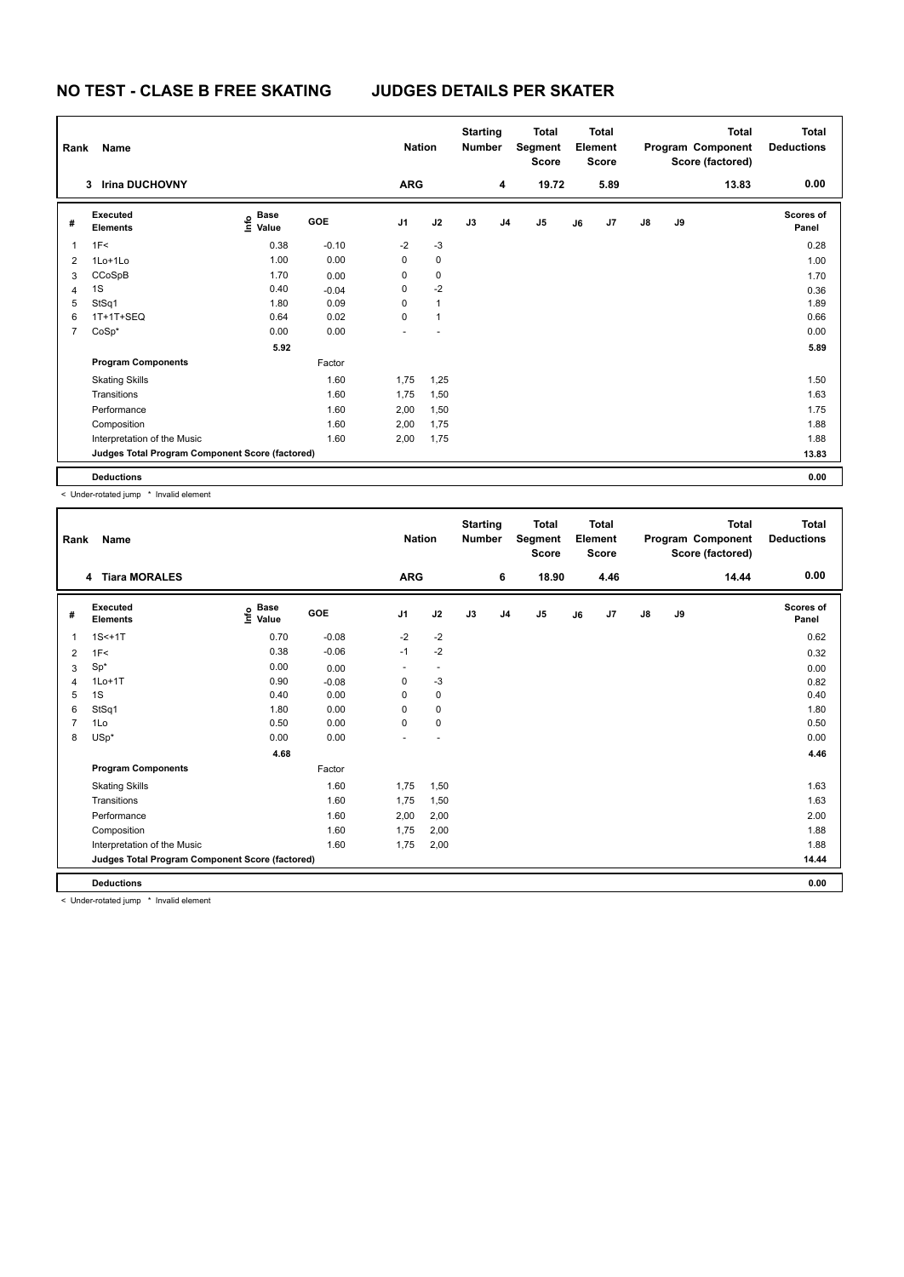| Rank           | Name                                            |                                   |            | <b>Nation</b>  |              | <b>Starting</b><br><b>Number</b> |                | Total<br>Segment<br><b>Score</b> |    | <b>Total</b><br>Element<br><b>Score</b> |               |    | <b>Total</b><br>Program Component<br>Score (factored) | <b>Total</b><br><b>Deductions</b> |
|----------------|-------------------------------------------------|-----------------------------------|------------|----------------|--------------|----------------------------------|----------------|----------------------------------|----|-----------------------------------------|---------------|----|-------------------------------------------------------|-----------------------------------|
|                | <b>Irina DUCHOVNY</b><br>3                      |                                   |            | <b>ARG</b>     |              |                                  | 4              | 19.72                            |    | 5.89                                    |               |    | 13.83                                                 | 0.00                              |
| #              | Executed<br><b>Elements</b>                     | $\overset{\circ}{\text{E}}$ Value | <b>GOE</b> | J <sub>1</sub> | J2           | J3                               | J <sub>4</sub> | J <sub>5</sub>                   | J6 | J7                                      | $\mathsf{J}8$ | J9 |                                                       | <b>Scores of</b><br>Panel         |
| 1              | 1F<                                             | 0.38                              | $-0.10$    | $-2$           | $-3$         |                                  |                |                                  |    |                                         |               |    |                                                       | 0.28                              |
| $\overline{2}$ | 1Lo+1Lo                                         | 1.00                              | 0.00       | 0              | $\mathbf 0$  |                                  |                |                                  |    |                                         |               |    |                                                       | 1.00                              |
| 3              | CCoSpB                                          | 1.70                              | 0.00       | 0              | 0            |                                  |                |                                  |    |                                         |               |    |                                                       | 1.70                              |
| 4              | 1S                                              | 0.40                              | $-0.04$    | 0              | $-2$         |                                  |                |                                  |    |                                         |               |    |                                                       | 0.36                              |
| 5              | StSq1                                           | 1.80                              | 0.09       | 0              | 1            |                                  |                |                                  |    |                                         |               |    |                                                       | 1.89                              |
| 6              | 1T+1T+SEQ                                       | 0.64                              | 0.02       | $\Omega$       | $\mathbf{1}$ |                                  |                |                                  |    |                                         |               |    |                                                       | 0.66                              |
| 7              | $CoSp*$                                         | 0.00                              | 0.00       |                |              |                                  |                |                                  |    |                                         |               |    |                                                       | 0.00                              |
|                |                                                 | 5.92                              |            |                |              |                                  |                |                                  |    |                                         |               |    |                                                       | 5.89                              |
|                | <b>Program Components</b>                       |                                   | Factor     |                |              |                                  |                |                                  |    |                                         |               |    |                                                       |                                   |
|                | <b>Skating Skills</b>                           |                                   | 1.60       | 1,75           | 1,25         |                                  |                |                                  |    |                                         |               |    |                                                       | 1.50                              |
|                | Transitions                                     |                                   | 1.60       | 1,75           | 1,50         |                                  |                |                                  |    |                                         |               |    |                                                       | 1.63                              |
|                | Performance                                     |                                   | 1.60       | 2,00           | 1,50         |                                  |                |                                  |    |                                         |               |    |                                                       | 1.75                              |
|                | Composition                                     |                                   | 1.60       | 2,00           | 1,75         |                                  |                |                                  |    |                                         |               |    |                                                       | 1.88                              |
|                | Interpretation of the Music                     |                                   | 1.60       | 2,00           | 1,75         |                                  |                |                                  |    |                                         |               |    |                                                       | 1.88                              |
|                | Judges Total Program Component Score (factored) |                                   |            |                |              |                                  |                |                                  |    |                                         |               |    |                                                       | 13.83                             |
|                | <b>Deductions</b>                               |                                   |            |                |              |                                  |                |                                  |    |                                         |               |    |                                                       | 0.00                              |

< Under-rotated jump \* Invalid element

| Rank           | Name                                            |                                  |         | <b>Nation</b>  |                | <b>Starting</b><br><b>Number</b> |                | <b>Total</b><br>Segment<br><b>Score</b> |    | <b>Total</b><br>Element<br><b>Score</b> |               |    | <b>Total</b><br>Program Component<br>Score (factored) | Total<br><b>Deductions</b> |
|----------------|-------------------------------------------------|----------------------------------|---------|----------------|----------------|----------------------------------|----------------|-----------------------------------------|----|-----------------------------------------|---------------|----|-------------------------------------------------------|----------------------------|
|                | 4 Tiara MORALES                                 |                                  |         | <b>ARG</b>     |                |                                  | 6              | 18.90                                   |    | 4.46                                    |               |    | 14.44                                                 | 0.00                       |
| #              | Executed<br><b>Elements</b>                     | <b>Base</b><br>e Base<br>⊆ Value | GOE     | J <sub>1</sub> | J2             | J3                               | J <sub>4</sub> | J5                                      | J6 | J7                                      | $\mathsf{J}8$ | J9 |                                                       | Scores of<br>Panel         |
| $\overline{1}$ | $1S<+1T$                                        | 0.70                             | $-0.08$ | $-2$           | $-2$           |                                  |                |                                         |    |                                         |               |    |                                                       | 0.62                       |
| 2              | 1F<                                             | 0.38                             | $-0.06$ | $-1$           | $-2$           |                                  |                |                                         |    |                                         |               |    |                                                       | 0.32                       |
| 3              | $Sp^*$                                          | 0.00                             | 0.00    | ٠              | $\blacksquare$ |                                  |                |                                         |    |                                         |               |    |                                                       | 0.00                       |
| 4              | $1Lo+1T$                                        | 0.90                             | $-0.08$ | 0              | $-3$           |                                  |                |                                         |    |                                         |               |    |                                                       | 0.82                       |
| 5              | 1S                                              | 0.40                             | 0.00    | 0              | $\pmb{0}$      |                                  |                |                                         |    |                                         |               |    |                                                       | 0.40                       |
| 6              | StSq1                                           | 1.80                             | 0.00    | 0              | $\pmb{0}$      |                                  |                |                                         |    |                                         |               |    |                                                       | 1.80                       |
| $\overline{7}$ | 1Lo                                             | 0.50                             | 0.00    | 0              | $\pmb{0}$      |                                  |                |                                         |    |                                         |               |    |                                                       | 0.50                       |
| 8              | $USp*$                                          | 0.00                             | 0.00    | ÷              | ٠              |                                  |                |                                         |    |                                         |               |    |                                                       | 0.00                       |
|                |                                                 | 4.68                             |         |                |                |                                  |                |                                         |    |                                         |               |    |                                                       | 4.46                       |
|                | <b>Program Components</b>                       |                                  | Factor  |                |                |                                  |                |                                         |    |                                         |               |    |                                                       |                            |
|                | <b>Skating Skills</b>                           |                                  | 1.60    | 1,75           | 1,50           |                                  |                |                                         |    |                                         |               |    |                                                       | 1.63                       |
|                | Transitions                                     |                                  | 1.60    | 1.75           | 1,50           |                                  |                |                                         |    |                                         |               |    |                                                       | 1.63                       |
|                | Performance                                     |                                  | 1.60    | 2,00           | 2,00           |                                  |                |                                         |    |                                         |               |    |                                                       | 2.00                       |
|                | Composition                                     |                                  | 1.60    | 1,75           | 2,00           |                                  |                |                                         |    |                                         |               |    |                                                       | 1.88                       |
|                | Interpretation of the Music                     |                                  | 1.60    | 1,75           | 2,00           |                                  |                |                                         |    |                                         |               |    |                                                       | 1.88                       |
|                | Judges Total Program Component Score (factored) |                                  |         |                |                |                                  |                |                                         |    |                                         |               |    |                                                       | 14.44                      |
|                | <b>Deductions</b>                               |                                  |         |                |                |                                  |                |                                         |    |                                         |               |    |                                                       | 0.00                       |

< Under-rotated jump \* Invalid element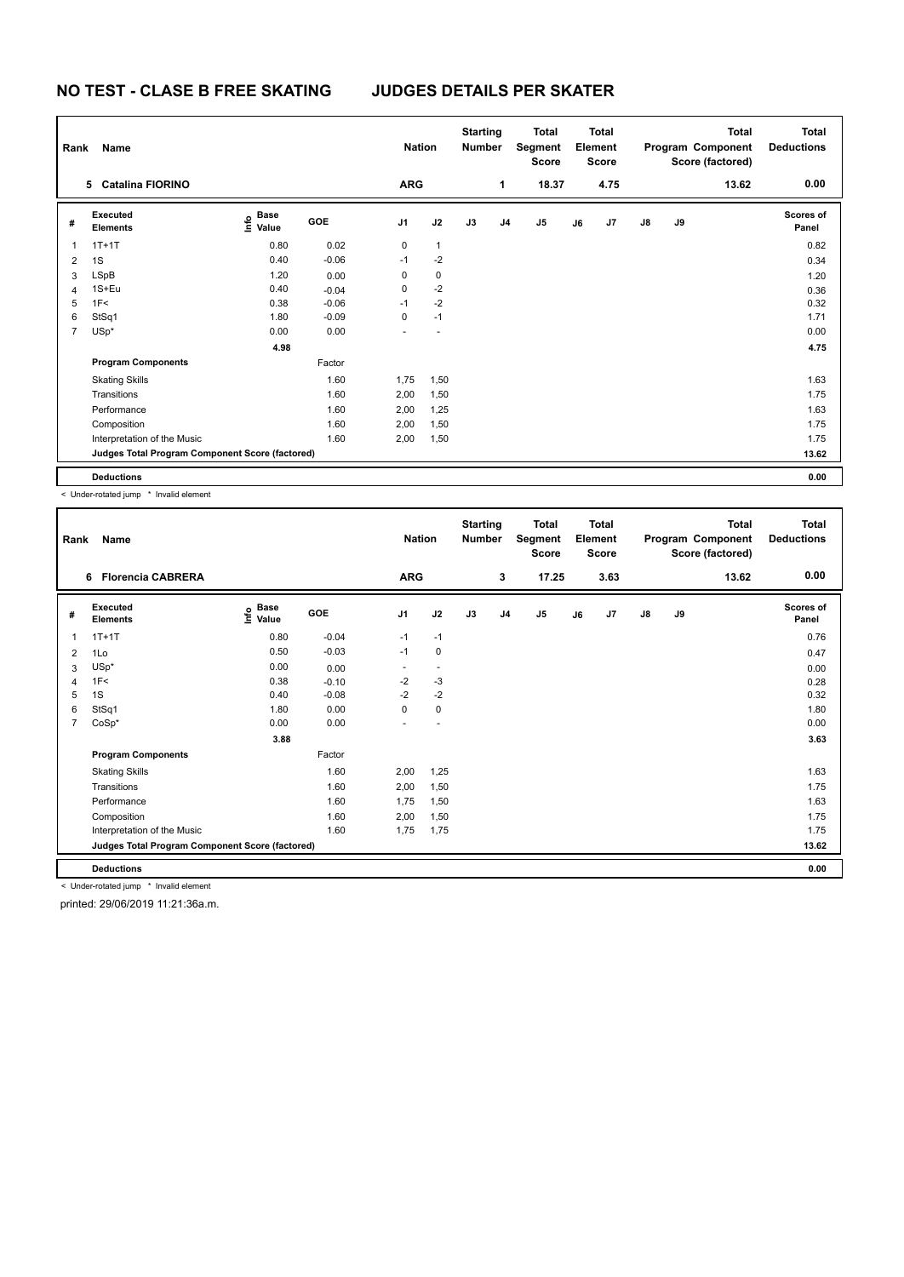| Rank           | Name                                            | <b>Nation</b>                         |            | <b>Starting</b><br><b>Number</b> |              | Total<br>Segment<br><b>Score</b> |                | Total<br>Element<br><b>Score</b> |    |      | Total<br>Program Component<br>Score (factored) | <b>Total</b><br><b>Deductions</b> |       |                           |
|----------------|-------------------------------------------------|---------------------------------------|------------|----------------------------------|--------------|----------------------------------|----------------|----------------------------------|----|------|------------------------------------------------|-----------------------------------|-------|---------------------------|
|                | <b>Catalina FIORINO</b><br>5                    |                                       |            | <b>ARG</b>                       |              |                                  | 1              | 18.37                            |    | 4.75 |                                                |                                   | 13.62 | 0.00                      |
| #              | Executed<br><b>Elements</b>                     | $\overset{\circ}{\text{\sf E}}$ Value | <b>GOE</b> | J1                               | J2           | J3                               | J <sub>4</sub> | J5                               | J6 | J7   | $\mathsf{J}8$                                  | J9                                |       | <b>Scores of</b><br>Panel |
| 1              | $1T+1T$                                         | 0.80                                  | 0.02       | 0                                | $\mathbf{1}$ |                                  |                |                                  |    |      |                                                |                                   |       | 0.82                      |
| 2              | 1S                                              | 0.40                                  | $-0.06$    | $-1$                             | $-2$         |                                  |                |                                  |    |      |                                                |                                   |       | 0.34                      |
| 3              | LSpB                                            | 1.20                                  | 0.00       | 0                                | $\pmb{0}$    |                                  |                |                                  |    |      |                                                |                                   |       | 1.20                      |
| 4              | 1S+Eu                                           | 0.40                                  | $-0.04$    | 0                                | $-2$         |                                  |                |                                  |    |      |                                                |                                   |       | 0.36                      |
| 5              | 1F<                                             | 0.38                                  | $-0.06$    | $-1$                             | $-2$         |                                  |                |                                  |    |      |                                                |                                   |       | 0.32                      |
| 6              | StSq1                                           | 1.80                                  | $-0.09$    | 0                                | $-1$         |                                  |                |                                  |    |      |                                                |                                   |       | 1.71                      |
| $\overline{7}$ | $USp*$                                          | 0.00                                  | 0.00       |                                  |              |                                  |                |                                  |    |      |                                                |                                   |       | 0.00                      |
|                |                                                 | 4.98                                  |            |                                  |              |                                  |                |                                  |    |      |                                                |                                   |       | 4.75                      |
|                | <b>Program Components</b>                       |                                       | Factor     |                                  |              |                                  |                |                                  |    |      |                                                |                                   |       |                           |
|                | <b>Skating Skills</b>                           |                                       | 1.60       | 1,75                             | 1,50         |                                  |                |                                  |    |      |                                                |                                   |       | 1.63                      |
|                | Transitions                                     |                                       | 1.60       | 2,00                             | 1,50         |                                  |                |                                  |    |      |                                                |                                   |       | 1.75                      |
|                | Performance                                     |                                       | 1.60       | 2,00                             | 1,25         |                                  |                |                                  |    |      |                                                |                                   |       | 1.63                      |
|                | Composition                                     |                                       | 1.60       | 2,00                             | 1,50         |                                  |                |                                  |    |      |                                                |                                   |       | 1.75                      |
|                | Interpretation of the Music                     |                                       | 1.60       | 2,00                             | 1,50         |                                  |                |                                  |    |      |                                                |                                   |       | 1.75                      |
|                | Judges Total Program Component Score (factored) |                                       |            |                                  |              |                                  |                |                                  |    |      |                                                |                                   |       | 13.62                     |
|                | <b>Deductions</b>                               |                                       |            |                                  |              |                                  |                |                                  |    |      |                                                |                                   |       | 0.00                      |

< Under-rotated jump \* Invalid element

| Rank           | Name                                            |                                    |         | <b>Nation</b>  |                          | <b>Starting</b><br><b>Number</b> |                | Total<br>Segment<br><b>Score</b> |    | <b>Total</b><br>Element<br><b>Score</b> |               |    | Total<br>Program Component<br>Score (factored) | <b>Total</b><br><b>Deductions</b> |
|----------------|-------------------------------------------------|------------------------------------|---------|----------------|--------------------------|----------------------------------|----------------|----------------------------------|----|-----------------------------------------|---------------|----|------------------------------------------------|-----------------------------------|
|                | <b>Florencia CABRERA</b><br>6                   |                                    |         | <b>ARG</b>     |                          |                                  | 3              | 17.25                            |    | 3.63                                    |               |    | 13.62                                          | 0.00                              |
| #              | Executed<br><b>Elements</b>                     | <b>Base</b><br>$\frac{6}{5}$ Value | GOE     | J <sub>1</sub> | J2                       | J3                               | J <sub>4</sub> | J <sub>5</sub>                   | J6 | J7                                      | $\mathsf{J}8$ | J9 |                                                | Scores of<br>Panel                |
| $\mathbf{1}$   | $1T+1T$                                         | 0.80                               | $-0.04$ | $-1$           | $-1$                     |                                  |                |                                  |    |                                         |               |    |                                                | 0.76                              |
| $\overline{2}$ | 1Lo                                             | 0.50                               | $-0.03$ | $-1$           | $\mathbf 0$              |                                  |                |                                  |    |                                         |               |    |                                                | 0.47                              |
| 3              | $USp*$                                          | 0.00                               | 0.00    | ٠              | $\overline{\phantom{a}}$ |                                  |                |                                  |    |                                         |               |    |                                                | 0.00                              |
| $\overline{4}$ | 1F<                                             | 0.38                               | $-0.10$ | $-2$           | $-3$                     |                                  |                |                                  |    |                                         |               |    |                                                | 0.28                              |
| 5              | 1S                                              | 0.40                               | $-0.08$ | $-2$           | $-2$                     |                                  |                |                                  |    |                                         |               |    |                                                | 0.32                              |
| 6              | StSq1                                           | 1.80                               | 0.00    | 0              | 0                        |                                  |                |                                  |    |                                         |               |    |                                                | 1.80                              |
| $\overline{7}$ | $CoSp*$                                         | 0.00                               | 0.00    |                |                          |                                  |                |                                  |    |                                         |               |    |                                                | 0.00                              |
|                |                                                 | 3.88                               |         |                |                          |                                  |                |                                  |    |                                         |               |    |                                                | 3.63                              |
|                | <b>Program Components</b>                       |                                    | Factor  |                |                          |                                  |                |                                  |    |                                         |               |    |                                                |                                   |
|                | <b>Skating Skills</b>                           |                                    | 1.60    | 2,00           | 1,25                     |                                  |                |                                  |    |                                         |               |    |                                                | 1.63                              |
|                | Transitions                                     |                                    | 1.60    | 2,00           | 1,50                     |                                  |                |                                  |    |                                         |               |    |                                                | 1.75                              |
|                | Performance                                     |                                    | 1.60    | 1,75           | 1,50                     |                                  |                |                                  |    |                                         |               |    |                                                | 1.63                              |
|                | Composition                                     |                                    | 1.60    | 2,00           | 1,50                     |                                  |                |                                  |    |                                         |               |    |                                                | 1.75                              |
|                | Interpretation of the Music                     |                                    | 1.60    | 1,75           | 1,75                     |                                  |                |                                  |    |                                         |               |    |                                                | 1.75                              |
|                | Judges Total Program Component Score (factored) |                                    |         |                |                          |                                  |                |                                  |    |                                         |               |    |                                                | 13.62                             |
|                | <b>Deductions</b>                               |                                    |         |                |                          |                                  |                |                                  |    |                                         |               |    |                                                | 0.00                              |

< Under-rotated jump \* Invalid element

printed: 29/06/2019 11:21:36a.m.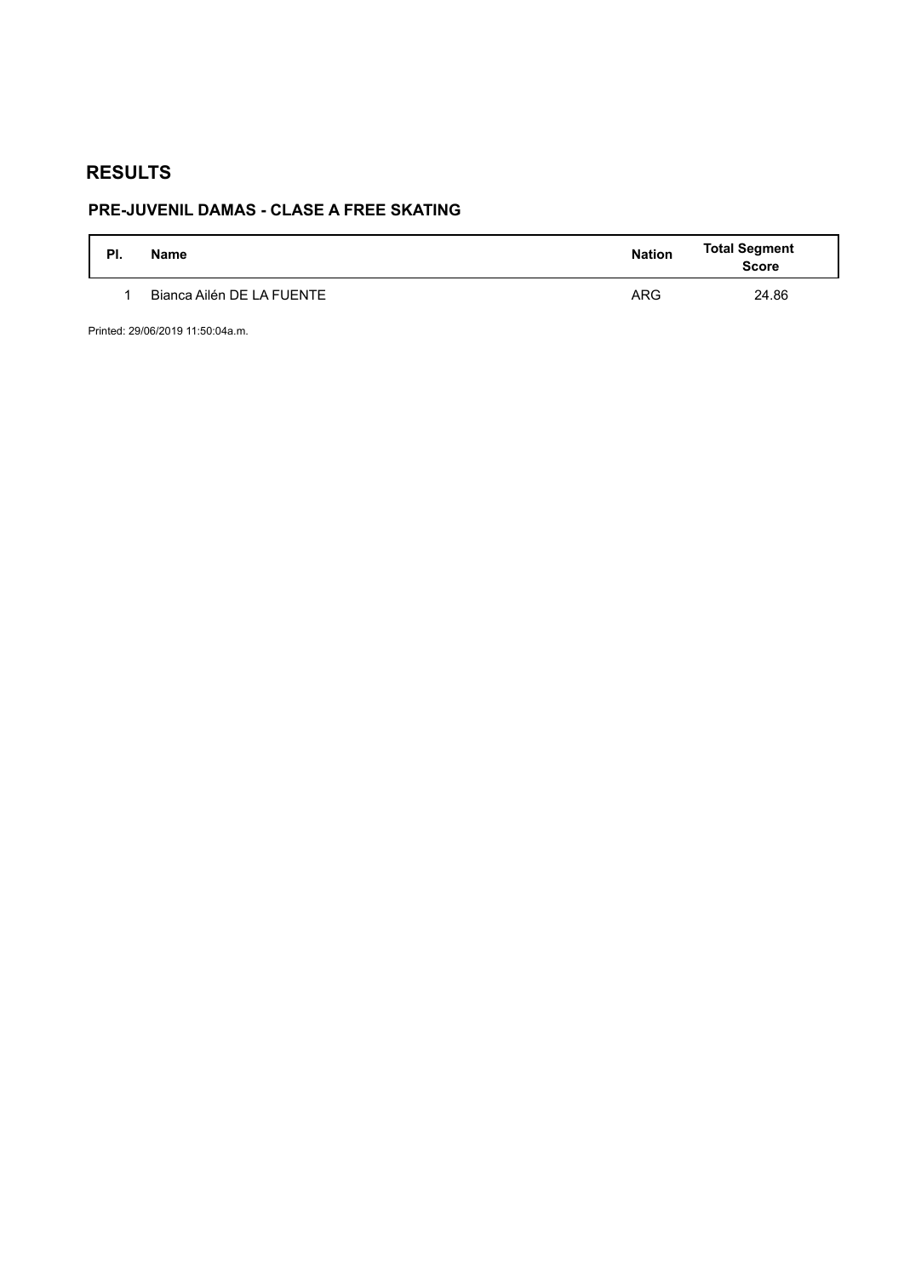# **PRE-JUVENIL DAMAS - CLASE A FREE SKATING**

| PI. | <b>Name</b>               | <b>Nation</b> | <b>Total Segment</b><br>Score |
|-----|---------------------------|---------------|-------------------------------|
|     | Bianca Ailén DE LA FUENTE | <b>ARG</b>    | 24.86                         |

Printed: 29/06/2019 11:50:04a.m.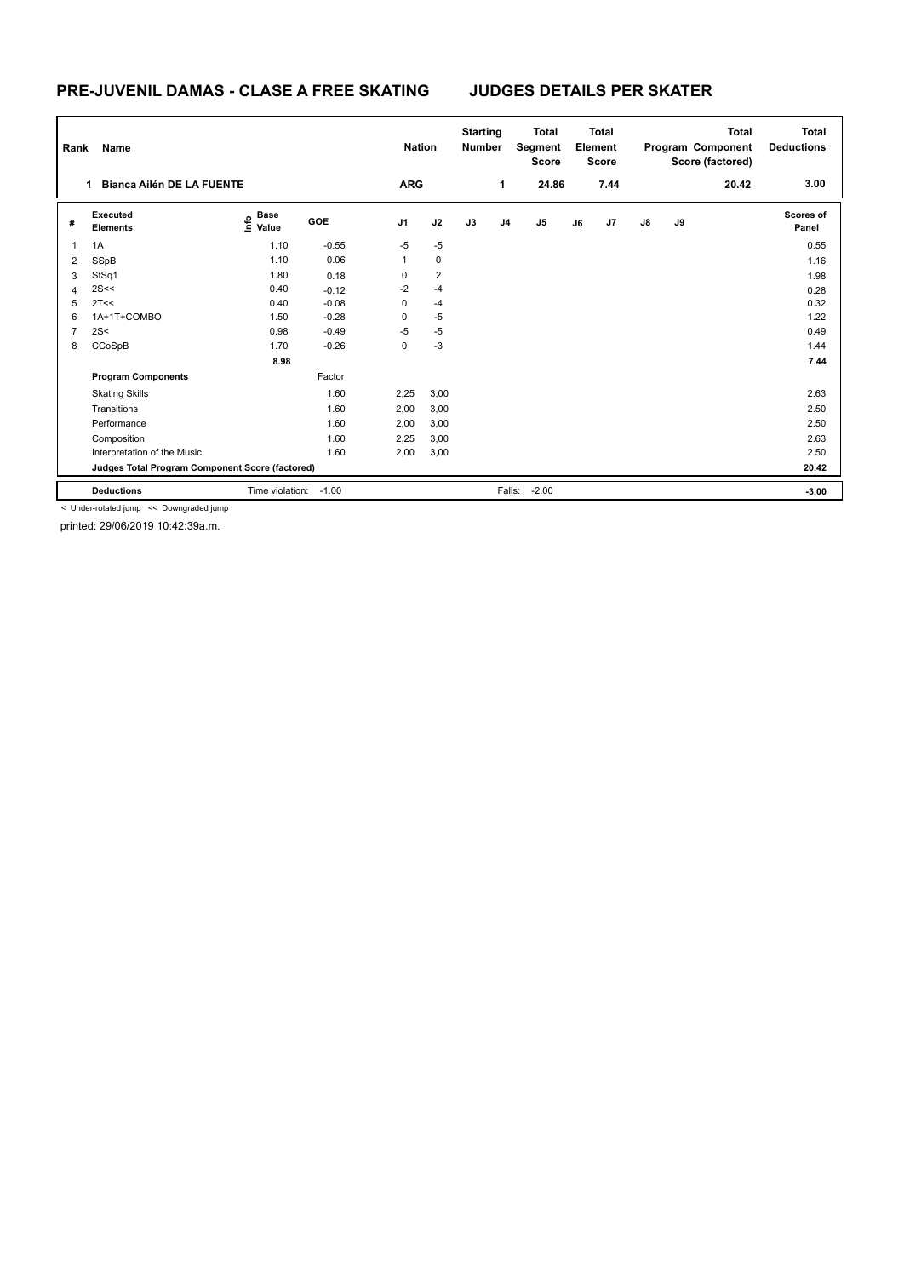### **PRE-JUVENIL DAMAS - CLASE A FREE SKATING JUDGES DETAILS PER SKATER**

| Rank | Name                                            |                                      |            | <b>Nation</b>  |                | <b>Starting</b><br><b>Number</b> |                | <b>Total</b><br>Segment<br><b>Score</b> |    | <b>Total</b><br>Element<br><b>Score</b> |               |    | <b>Total</b><br>Program Component<br>Score (factored) | <b>Total</b><br><b>Deductions</b> |
|------|-------------------------------------------------|--------------------------------------|------------|----------------|----------------|----------------------------------|----------------|-----------------------------------------|----|-----------------------------------------|---------------|----|-------------------------------------------------------|-----------------------------------|
|      | <b>Bianca Ailén DE LA FUENTE</b>                |                                      |            | <b>ARG</b>     |                |                                  | 1              | 24.86                                   |    | 7.44                                    |               |    | 20.42                                                 | 3.00                              |
| #    | Executed<br><b>Elements</b>                     | <b>Base</b><br>$\sum_{i=1}^{6}$ Pase | <b>GOE</b> | J <sub>1</sub> | J2             | J3                               | J <sub>4</sub> | J <sub>5</sub>                          | J6 | J7                                      | $\mathsf{J}8$ | J9 |                                                       | Scores of<br>Panel                |
| 1    | 1A                                              | 1.10                                 | $-0.55$    | $-5$           | $-5$           |                                  |                |                                         |    |                                         |               |    |                                                       | 0.55                              |
| 2    | SSpB                                            | 1.10                                 | 0.06       | 1              | $\mathbf 0$    |                                  |                |                                         |    |                                         |               |    |                                                       | 1.16                              |
| 3    | StSq1                                           | 1.80                                 | 0.18       | 0              | $\overline{2}$ |                                  |                |                                         |    |                                         |               |    |                                                       | 1.98                              |
| 4    | 2S<<                                            | 0.40                                 | $-0.12$    | $-2$           | $-4$           |                                  |                |                                         |    |                                         |               |    |                                                       | 0.28                              |
| 5    | 2T<<                                            | 0.40                                 | $-0.08$    | 0              | $-4$           |                                  |                |                                         |    |                                         |               |    |                                                       | 0.32                              |
| 6    | 1A+1T+COMBO                                     | 1.50                                 | $-0.28$    | 0              | $-5$           |                                  |                |                                         |    |                                         |               |    |                                                       | 1.22                              |
| 7    | 2S<                                             | 0.98                                 | $-0.49$    | $-5$           | $-5$           |                                  |                |                                         |    |                                         |               |    |                                                       | 0.49                              |
| 8    | CCoSpB                                          | 1.70                                 | $-0.26$    | 0              | $-3$           |                                  |                |                                         |    |                                         |               |    |                                                       | 1.44                              |
|      |                                                 | 8.98                                 |            |                |                |                                  |                |                                         |    |                                         |               |    |                                                       | 7.44                              |
|      | <b>Program Components</b>                       |                                      | Factor     |                |                |                                  |                |                                         |    |                                         |               |    |                                                       |                                   |
|      | <b>Skating Skills</b>                           |                                      | 1.60       | 2,25           | 3,00           |                                  |                |                                         |    |                                         |               |    |                                                       | 2.63                              |
|      | Transitions                                     |                                      | 1.60       | 2,00           | 3,00           |                                  |                |                                         |    |                                         |               |    |                                                       | 2.50                              |
|      | Performance                                     |                                      | 1.60       | 2,00           | 3,00           |                                  |                |                                         |    |                                         |               |    |                                                       | 2.50                              |
|      | Composition                                     |                                      | 1.60       | 2,25           | 3,00           |                                  |                |                                         |    |                                         |               |    |                                                       | 2.63                              |
|      | Interpretation of the Music                     |                                      | 1.60       | 2,00           | 3,00           |                                  |                |                                         |    |                                         |               |    |                                                       | 2.50                              |
|      | Judges Total Program Component Score (factored) |                                      |            |                |                |                                  |                |                                         |    |                                         |               |    |                                                       | 20.42                             |
|      | <b>Deductions</b>                               | Time violation:                      | $-1.00$    |                |                |                                  | Falls:         | $-2.00$                                 |    |                                         |               |    |                                                       | $-3.00$                           |

< Under-rotated jump << Downgraded jump

printed: 29/06/2019 10:42:39a.m.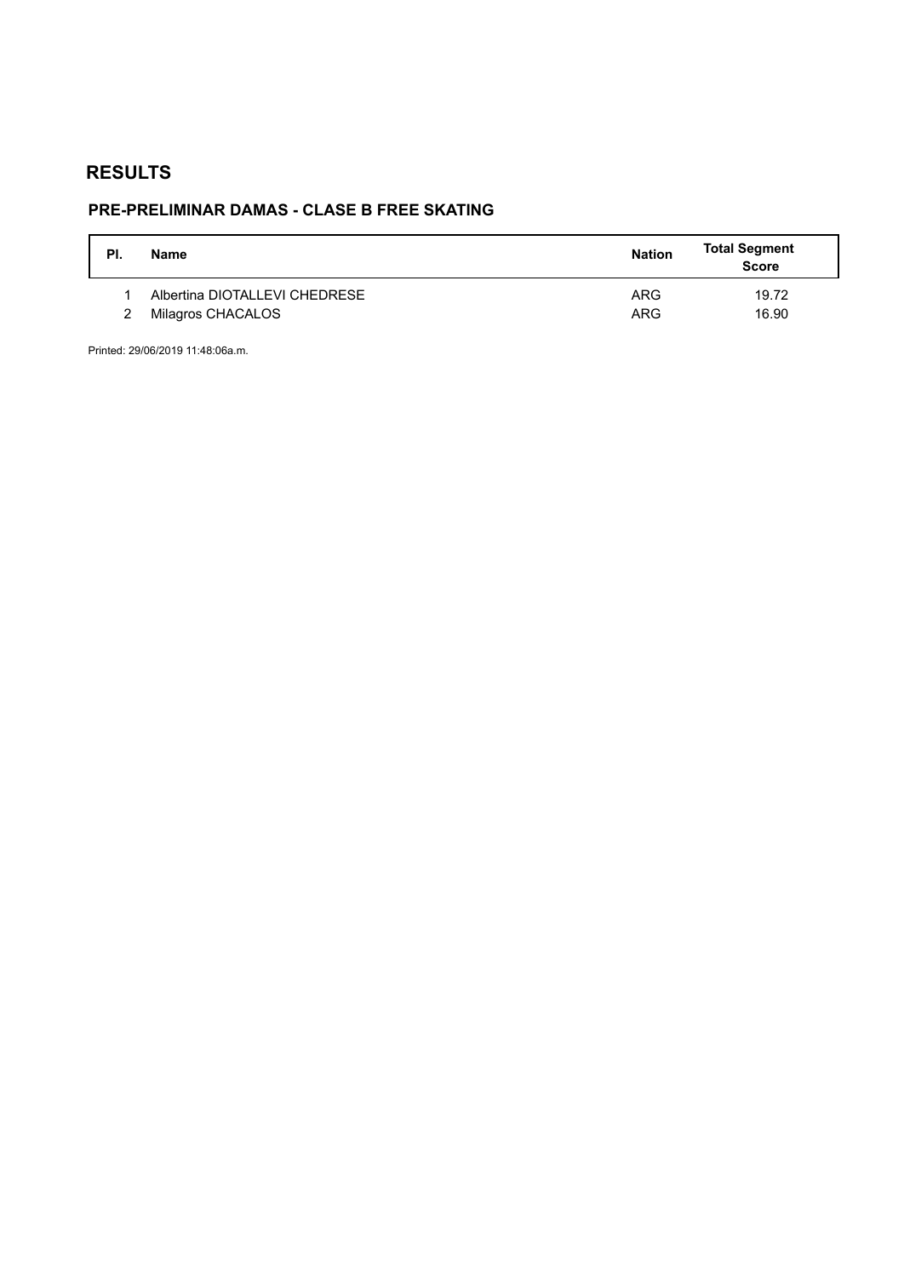## **PRE-PRELIMINAR DAMAS - CLASE B FREE SKATING**

| PI. | Name                          | <b>Nation</b> | <b>Total Segment</b><br><b>Score</b> |
|-----|-------------------------------|---------------|--------------------------------------|
|     | Albertina DIOTALLEVI CHEDRESE | ARG           | 19.72                                |
|     | Milagros CHACALOS             | ARG           | 16.90                                |

Printed: 29/06/2019 11:48:06a.m.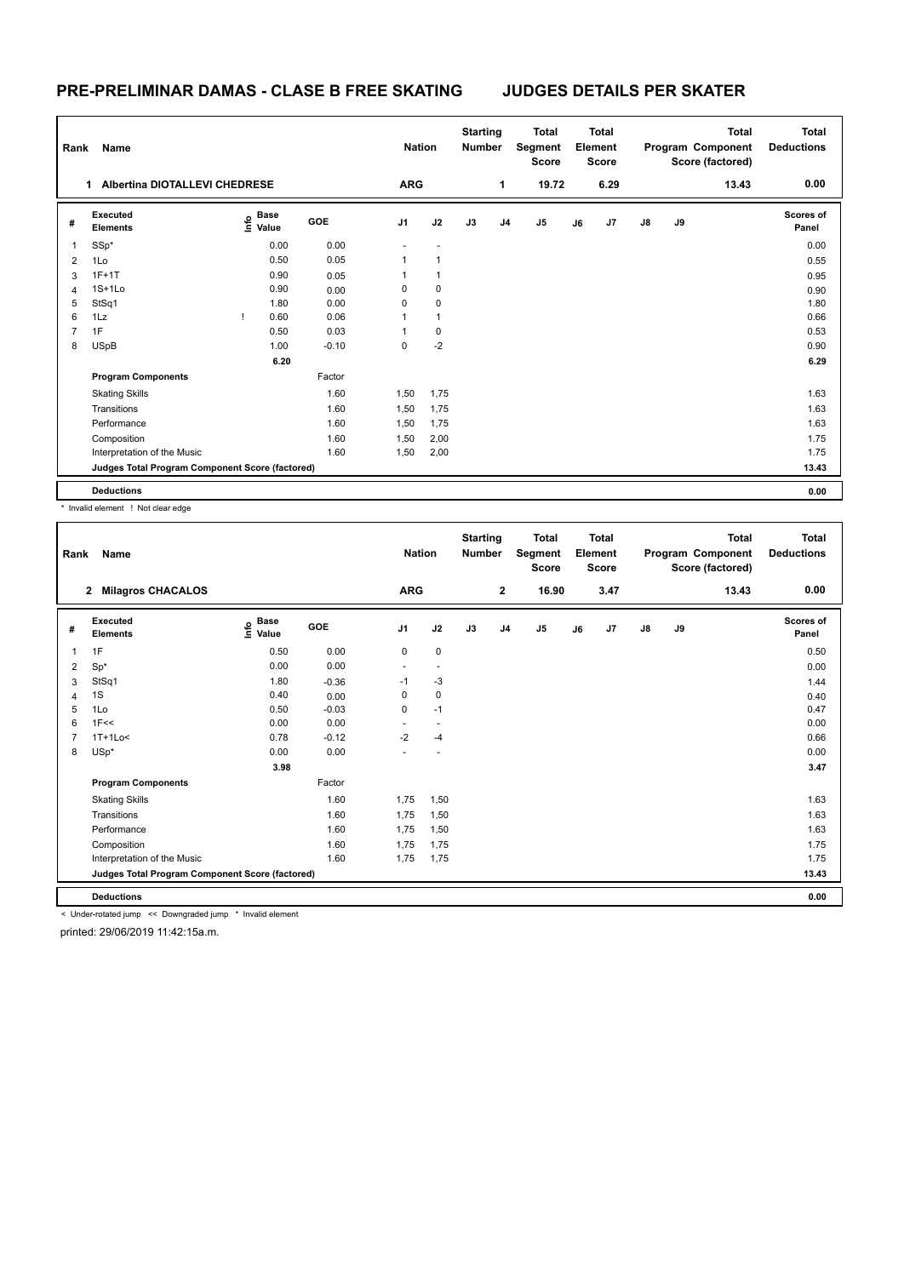### **PRE-PRELIMINAR DAMAS - CLASE B FREE SKATING JUDGES DETAILS PER SKATER**

| Rank           | Name                                            |                                  |         | <b>Nation</b>  |             | <b>Starting</b><br><b>Number</b> |                | <b>Total</b><br>Segment<br><b>Score</b> |    | <b>Total</b><br>Element<br><b>Score</b> |               |    | <b>Total</b><br>Program Component<br>Score (factored) | <b>Total</b><br><b>Deductions</b> |
|----------------|-------------------------------------------------|----------------------------------|---------|----------------|-------------|----------------------------------|----------------|-----------------------------------------|----|-----------------------------------------|---------------|----|-------------------------------------------------------|-----------------------------------|
|                | <b>Albertina DIOTALLEVI CHEDRESE</b><br>1       |                                  |         | <b>ARG</b>     |             |                                  | 1              | 19.72                                   |    | 6.29                                    |               |    | 13.43                                                 | 0.00                              |
| #              | Executed<br><b>Elements</b>                     | <b>Base</b><br>e Base<br>E Value | GOE     | J <sub>1</sub> | J2          | J3                               | J <sub>4</sub> | J5                                      | J6 | J7                                      | $\mathsf{J}8$ | J9 |                                                       | Scores of<br>Panel                |
| 1              | SSp*                                            | 0.00                             | 0.00    |                |             |                                  |                |                                         |    |                                         |               |    |                                                       | 0.00                              |
| $\overline{2}$ | 1Lo                                             | 0.50                             | 0.05    | 1              | 1           |                                  |                |                                         |    |                                         |               |    |                                                       | 0.55                              |
| 3              | $1F+1T$                                         | 0.90                             | 0.05    | 1              |             |                                  |                |                                         |    |                                         |               |    |                                                       | 0.95                              |
| 4              | $1S+1Lo$                                        | 0.90                             | 0.00    | 0              | 0           |                                  |                |                                         |    |                                         |               |    |                                                       | 0.90                              |
| 5              | StSq1                                           | 1.80                             | 0.00    | 0              | $\mathbf 0$ |                                  |                |                                         |    |                                         |               |    |                                                       | 1.80                              |
| 6              | 1Lz                                             | 0.60                             | 0.06    |                | 1           |                                  |                |                                         |    |                                         |               |    |                                                       | 0.66                              |
| 7              | 1F                                              | 0.50                             | 0.03    |                | 0           |                                  |                |                                         |    |                                         |               |    |                                                       | 0.53                              |
| 8              | <b>USpB</b>                                     | 1.00                             | $-0.10$ | 0              | $-2$        |                                  |                |                                         |    |                                         |               |    |                                                       | 0.90                              |
|                |                                                 | 6.20                             |         |                |             |                                  |                |                                         |    |                                         |               |    |                                                       | 6.29                              |
|                | <b>Program Components</b>                       |                                  | Factor  |                |             |                                  |                |                                         |    |                                         |               |    |                                                       |                                   |
|                | <b>Skating Skills</b>                           |                                  | 1.60    | 1,50           | 1,75        |                                  |                |                                         |    |                                         |               |    |                                                       | 1.63                              |
|                | Transitions                                     |                                  | 1.60    | 1,50           | 1,75        |                                  |                |                                         |    |                                         |               |    |                                                       | 1.63                              |
|                | Performance                                     |                                  | 1.60    | 1,50           | 1,75        |                                  |                |                                         |    |                                         |               |    |                                                       | 1.63                              |
|                | Composition                                     |                                  | 1.60    | 1,50           | 2,00        |                                  |                |                                         |    |                                         |               |    |                                                       | 1.75                              |
|                | Interpretation of the Music                     |                                  | 1.60    | 1,50           | 2,00        |                                  |                |                                         |    |                                         |               |    |                                                       | 1.75                              |
|                | Judges Total Program Component Score (factored) |                                  |         |                |             |                                  |                |                                         |    |                                         |               |    |                                                       | 13.43                             |
|                | <b>Deductions</b>                               |                                  |         |                |             |                                  |                |                                         |    |                                         |               |    |                                                       | 0.00                              |

\* Invalid element ! Not clear edge

| Rank           | Name                                                      |                                           |         | <b>Nation</b>  |             | <b>Starting</b><br><b>Number</b> |                | <b>Total</b><br>Segment<br><b>Score</b> |    | <b>Total</b><br>Element<br><b>Score</b> |               |    | <b>Total</b><br>Program Component<br>Score (factored) | <b>Total</b><br><b>Deductions</b> |
|----------------|-----------------------------------------------------------|-------------------------------------------|---------|----------------|-------------|----------------------------------|----------------|-----------------------------------------|----|-----------------------------------------|---------------|----|-------------------------------------------------------|-----------------------------------|
|                | $\mathbf{2}$<br><b>Milagros CHACALOS</b>                  |                                           |         | <b>ARG</b>     |             |                                  | $\mathbf{2}$   | 16.90                                   |    | 3.47                                    |               |    | 13.43                                                 | 0.00                              |
| #              | Executed<br><b>Elements</b>                               | $\frac{6}{5}$ Base<br>$\frac{6}{5}$ Value | GOE     | J <sub>1</sub> | J2          | J3                               | J <sub>4</sub> | J5                                      | J6 | J7                                      | $\mathsf{J}8$ | J9 |                                                       | Scores of<br>Panel                |
| 1              | 1F                                                        | 0.50                                      | 0.00    | $\mathbf 0$    | $\mathbf 0$ |                                  |                |                                         |    |                                         |               |    |                                                       | 0.50                              |
| 2              | $Sp^*$                                                    | 0.00                                      | 0.00    | ٠              | $\sim$      |                                  |                |                                         |    |                                         |               |    |                                                       | 0.00                              |
| 3              | StSq1                                                     | 1.80                                      | $-0.36$ | $-1$           | $-3$        |                                  |                |                                         |    |                                         |               |    |                                                       | 1.44                              |
| 4              | 1S                                                        | 0.40                                      | 0.00    | $\Omega$       | 0           |                                  |                |                                         |    |                                         |               |    |                                                       | 0.40                              |
| 5              | 1Lo                                                       | 0.50                                      | $-0.03$ | $\Omega$       | $-1$        |                                  |                |                                         |    |                                         |               |    |                                                       | 0.47                              |
| 6              | 1F<<                                                      | 0.00                                      | 0.00    |                | $\sim$      |                                  |                |                                         |    |                                         |               |    |                                                       | 0.00                              |
| $\overline{7}$ | $1T+1Lo<$                                                 | 0.78                                      | $-0.12$ | $-2$           | $-4$        |                                  |                |                                         |    |                                         |               |    |                                                       | 0.66                              |
| 8              | $USp*$                                                    | 0.00                                      | 0.00    |                |             |                                  |                |                                         |    |                                         |               |    |                                                       | 0.00                              |
|                |                                                           | 3.98                                      |         |                |             |                                  |                |                                         |    |                                         |               |    |                                                       | 3.47                              |
|                | <b>Program Components</b>                                 |                                           | Factor  |                |             |                                  |                |                                         |    |                                         |               |    |                                                       |                                   |
|                | <b>Skating Skills</b>                                     |                                           | 1.60    | 1,75           | 1,50        |                                  |                |                                         |    |                                         |               |    |                                                       | 1.63                              |
|                | Transitions                                               |                                           | 1.60    | 1,75           | 1,50        |                                  |                |                                         |    |                                         |               |    |                                                       | 1.63                              |
|                | Performance                                               |                                           | 1.60    | 1,75           | 1,50        |                                  |                |                                         |    |                                         |               |    |                                                       | 1.63                              |
|                | Composition                                               |                                           | 1.60    | 1,75           | 1,75        |                                  |                |                                         |    |                                         |               |    |                                                       | 1.75                              |
|                | Interpretation of the Music                               |                                           | 1.60    | 1,75           | 1,75        |                                  |                |                                         |    |                                         |               |    |                                                       | 1.75                              |
|                | Judges Total Program Component Score (factored)           |                                           |         |                |             |                                  |                |                                         |    |                                         |               |    |                                                       | 13.43                             |
|                | <b>Deductions</b>                                         |                                           |         |                |             |                                  |                |                                         |    |                                         |               |    |                                                       | 0.00                              |
|                | < Under-rotated jump << Downgraded jump * Invalid element |                                           |         |                |             |                                  |                |                                         |    |                                         |               |    |                                                       |                                   |

printed: 29/06/2019 11:42:15a.m.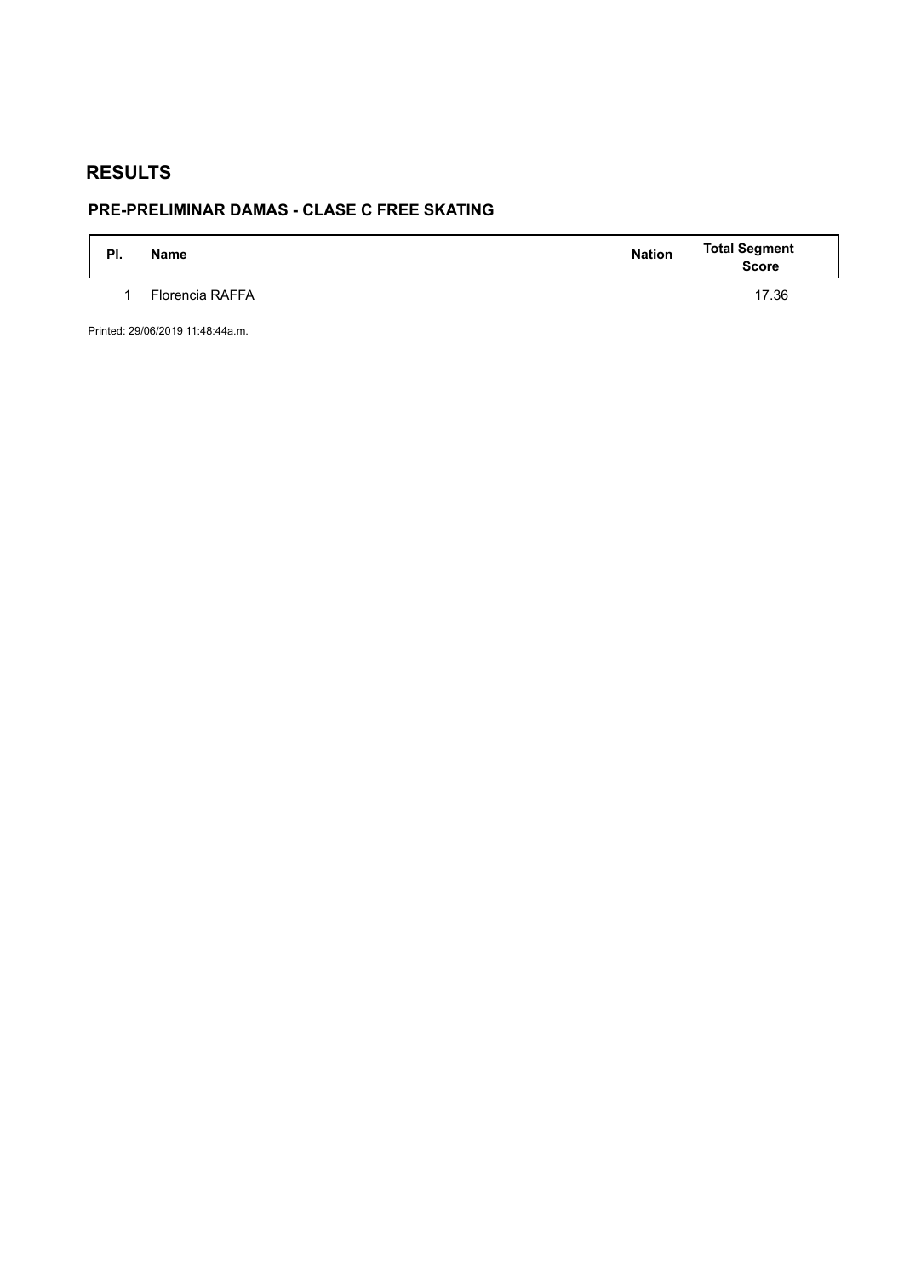## **PRE-PRELIMINAR DAMAS - CLASE C FREE SKATING**

| PI. | <b>Name</b>     | <b>Nation</b> | <b>Total Segment</b><br><b>Score</b> |
|-----|-----------------|---------------|--------------------------------------|
|     | Florencia RAFFA |               | 17.36                                |

Printed: 29/06/2019 11:48:44a.m.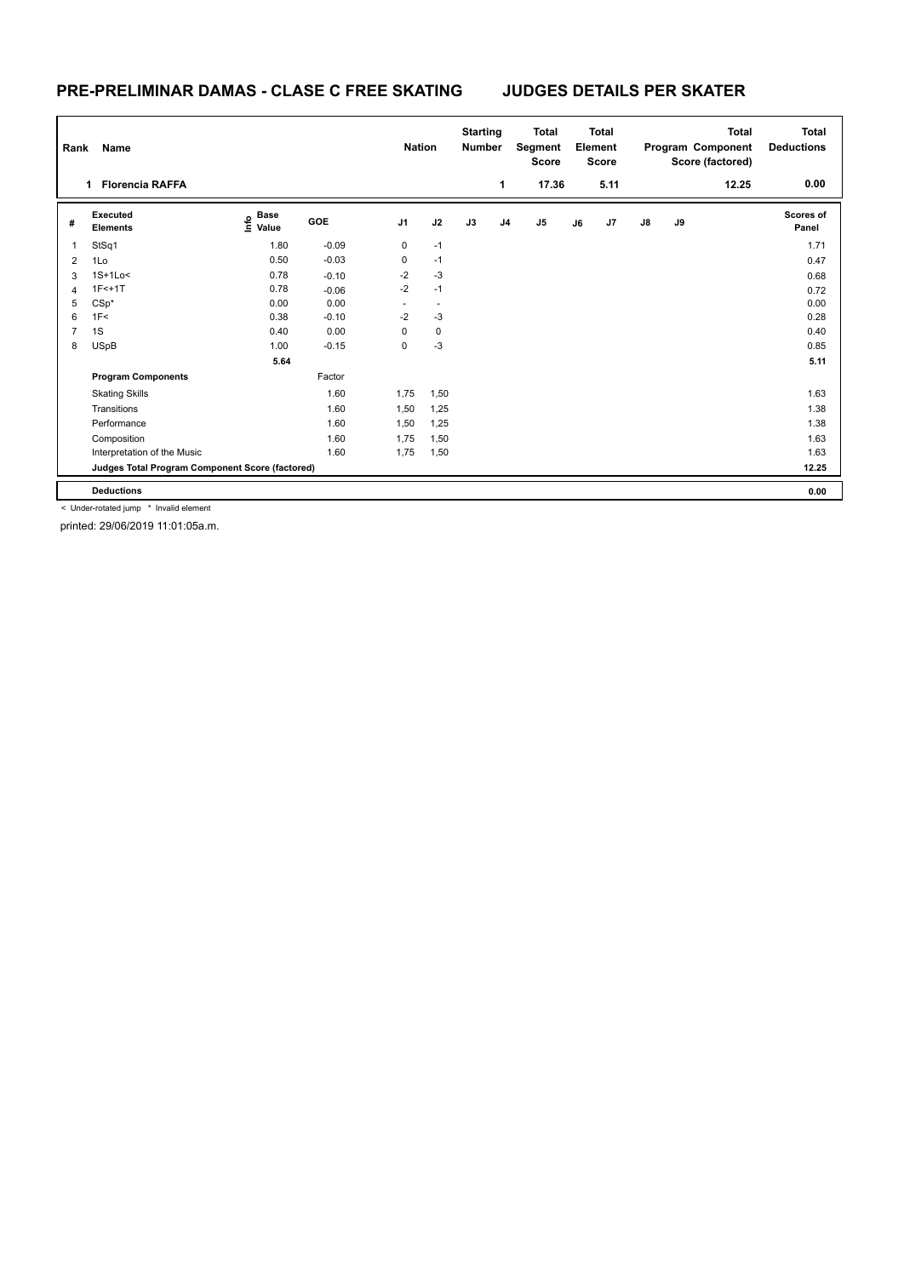### **PRE-PRELIMINAR DAMAS - CLASE C FREE SKATING JUDGES DETAILS PER SKATER**

| Rank<br>Name   |                                                 |                       |            |                |             | <b>Starting</b><br><b>Number</b> |                | <b>Total</b><br>Segment<br><b>Score</b> | <b>Total</b><br>Element<br><b>Score</b> |      |               | Program Component<br>Score (factored) | <b>Total</b><br><b>Deductions</b> |                           |
|----------------|-------------------------------------------------|-----------------------|------------|----------------|-------------|----------------------------------|----------------|-----------------------------------------|-----------------------------------------|------|---------------|---------------------------------------|-----------------------------------|---------------------------|
|                | <b>Florencia RAFFA</b><br>1.                    |                       |            |                |             |                                  | 1              | 17.36                                   |                                         | 5.11 |               |                                       | 12.25                             | 0.00                      |
| #              | Executed<br><b>Elements</b>                     | $\sum_{i=1}^{6}$ Pase | <b>GOE</b> | J <sub>1</sub> | J2          | J3                               | J <sub>4</sub> | $\mathsf{J}5$                           | J6                                      | J7   | $\mathsf{J}8$ | J9                                    |                                   | <b>Scores of</b><br>Panel |
| 1              | StSq1                                           | 1.80                  | $-0.09$    | 0              | $-1$        |                                  |                |                                         |                                         |      |               |                                       |                                   | 1.71                      |
| $\overline{2}$ | 1Lo                                             | 0.50                  | $-0.03$    | 0              | $-1$        |                                  |                |                                         |                                         |      |               |                                       |                                   | 0.47                      |
| 3              | $1S+1Lo<$                                       | 0.78                  | $-0.10$    | $-2$           | $-3$        |                                  |                |                                         |                                         |      |               |                                       |                                   | 0.68                      |
| $\overline{4}$ | $1F<+1T$                                        | 0.78                  | $-0.06$    | $-2$           | $-1$        |                                  |                |                                         |                                         |      |               |                                       |                                   | 0.72                      |
| 5              | $CSp*$                                          | 0.00                  | 0.00       |                |             |                                  |                |                                         |                                         |      |               |                                       |                                   | 0.00                      |
| 6              | 1F<                                             | 0.38                  | $-0.10$    | $-2$           | $-3$        |                                  |                |                                         |                                         |      |               |                                       |                                   | 0.28                      |
|                | 1S                                              | 0.40                  | 0.00       | $\Omega$       | $\mathbf 0$ |                                  |                |                                         |                                         |      |               |                                       |                                   | 0.40                      |
| 8              | USpB                                            | 1.00                  | $-0.15$    | 0              | $-3$        |                                  |                |                                         |                                         |      |               |                                       |                                   | 0.85                      |
|                |                                                 | 5.64                  |            |                |             |                                  |                |                                         |                                         |      |               |                                       |                                   | 5.11                      |
|                | <b>Program Components</b>                       |                       | Factor     |                |             |                                  |                |                                         |                                         |      |               |                                       |                                   |                           |
|                | <b>Skating Skills</b>                           |                       | 1.60       | 1,75           | 1,50        |                                  |                |                                         |                                         |      |               |                                       |                                   | 1.63                      |
|                | Transitions                                     |                       | 1.60       | 1,50           | 1,25        |                                  |                |                                         |                                         |      |               |                                       |                                   | 1.38                      |
|                | Performance                                     |                       | 1.60       | 1,50           | 1,25        |                                  |                |                                         |                                         |      |               |                                       |                                   | 1.38                      |
|                | Composition                                     |                       | 1.60       | 1,75           | 1,50        |                                  |                |                                         |                                         |      |               |                                       |                                   | 1.63                      |
|                | Interpretation of the Music                     |                       | 1.60       | 1,75           | 1,50        |                                  |                |                                         |                                         |      |               |                                       |                                   | 1.63                      |
|                | Judges Total Program Component Score (factored) |                       |            |                |             |                                  |                |                                         |                                         |      |               |                                       |                                   | 12.25                     |
|                | <b>Deductions</b>                               |                       |            |                |             |                                  |                |                                         |                                         |      |               |                                       |                                   | 0.00                      |

< Under-rotated jump \* Invalid element

printed: 29/06/2019 11:01:05a.m.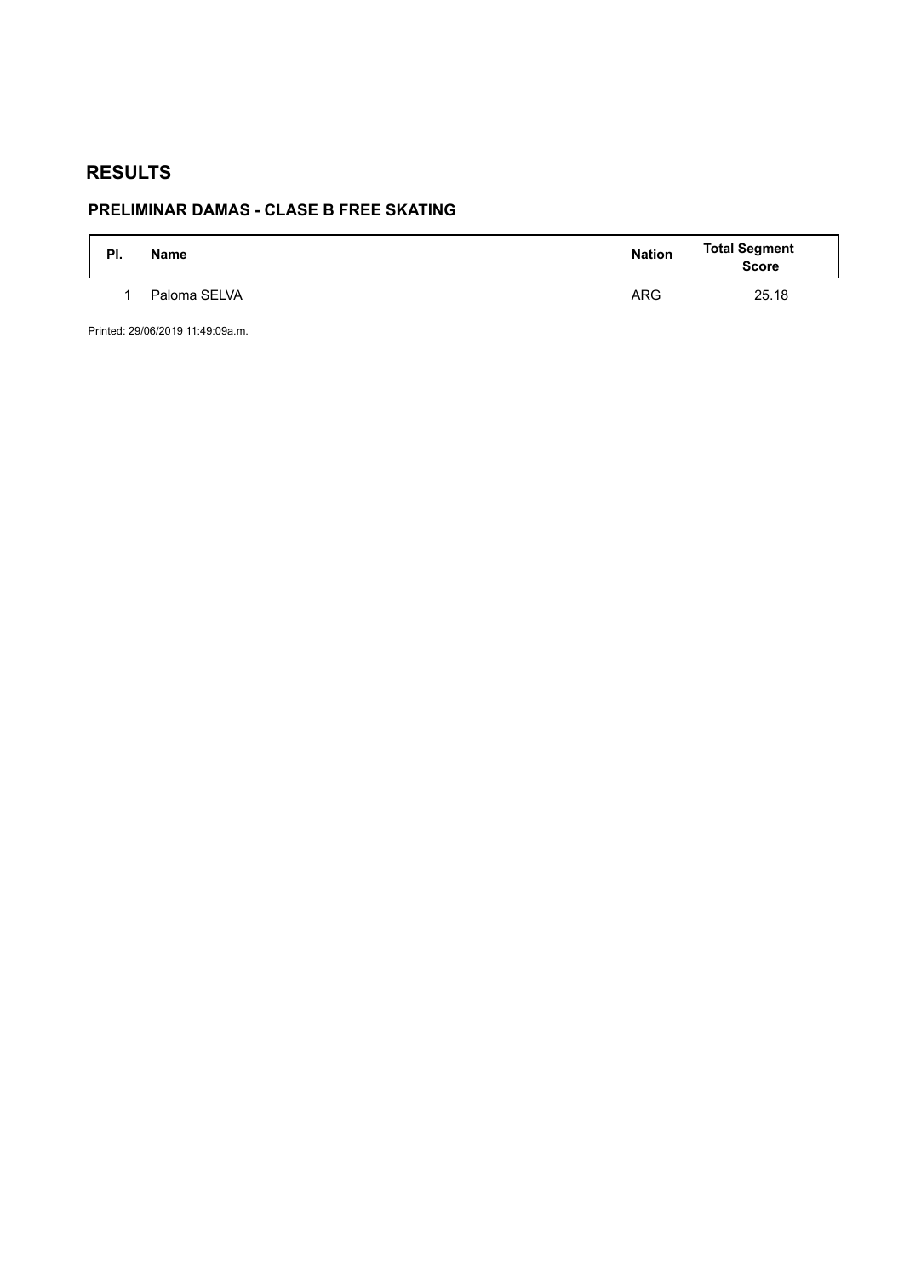## **PRELIMINAR DAMAS - CLASE B FREE SKATING**

| PI. | <b>Name</b>  | <b>Nation</b> | <b>Total Segment</b><br><b>Score</b> |
|-----|--------------|---------------|--------------------------------------|
|     | Paloma SELVA | <b>ARG</b>    | 25.18                                |

Printed: 29/06/2019 11:49:09a.m.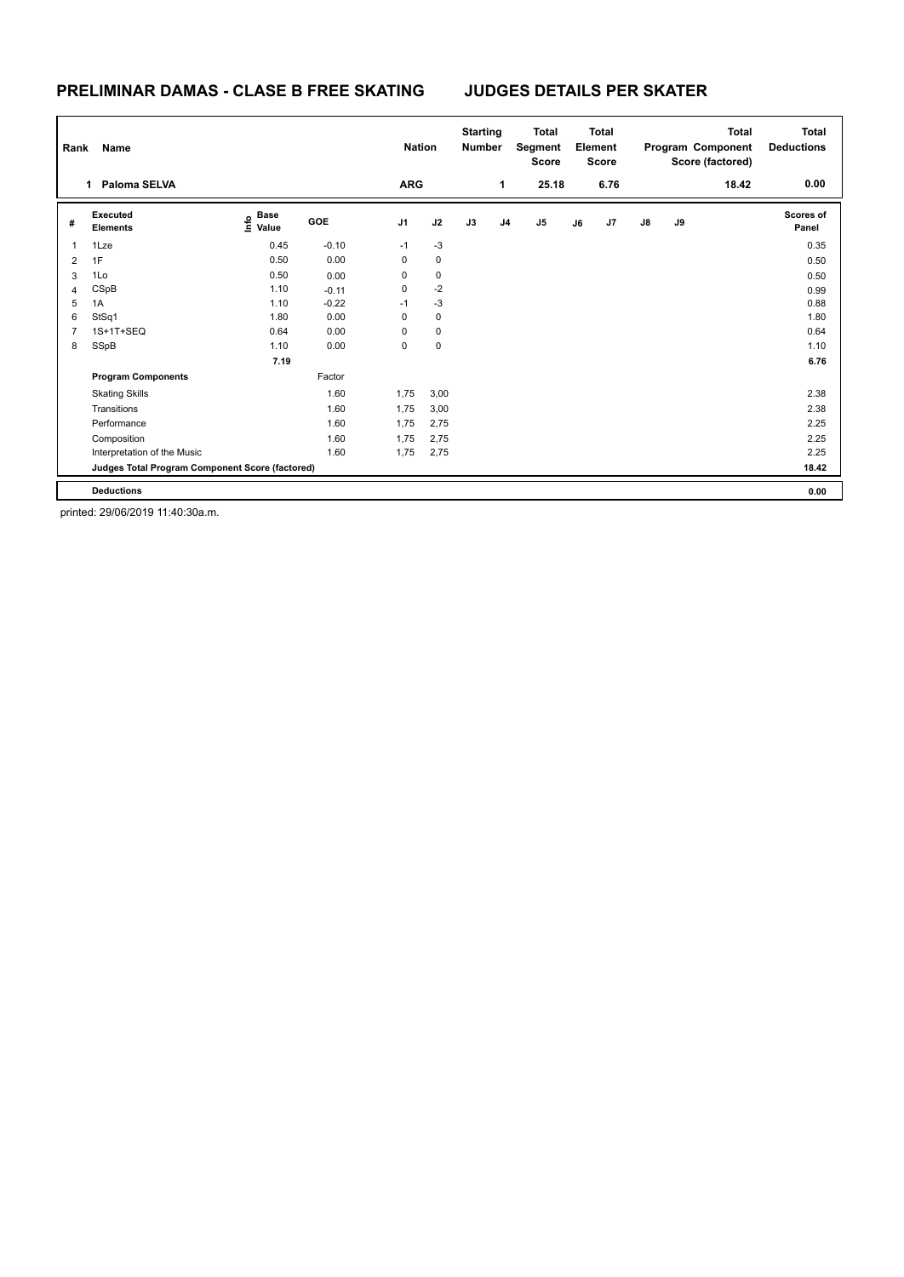### **PRELIMINAR DAMAS - CLASE B FREE SKATING JUDGES DETAILS PER SKATER**

|                | Rank<br>Name                                    |                                  |         |                |             | <b>Starting</b><br><b>Number</b> |                | <b>Total</b><br>Segment<br><b>Score</b> |    | <b>Total</b><br>Element<br><b>Score</b> |               | <b>Total</b><br>Program Component<br>Score (factored) |       | <b>Total</b><br><b>Deductions</b> |
|----------------|-------------------------------------------------|----------------------------------|---------|----------------|-------------|----------------------------------|----------------|-----------------------------------------|----|-----------------------------------------|---------------|-------------------------------------------------------|-------|-----------------------------------|
|                | Paloma SELVA<br>1                               |                                  |         | <b>ARG</b>     |             |                                  | 1              | 25.18                                   |    | 6.76                                    |               |                                                       | 18.42 | 0.00                              |
| #              | Executed<br><b>Elements</b>                     | <b>Base</b><br>e Base<br>E Value | GOE     | J <sub>1</sub> | J2          | J3                               | J <sub>4</sub> | J <sub>5</sub>                          | J6 | J7                                      | $\mathsf{J}8$ | J9                                                    |       | Scores of<br>Panel                |
| $\overline{1}$ | 1Lze                                            | 0.45                             | $-0.10$ | $-1$           | $-3$        |                                  |                |                                         |    |                                         |               |                                                       |       | 0.35                              |
| 2              | 1F                                              | 0.50                             | 0.00    | 0              | 0           |                                  |                |                                         |    |                                         |               |                                                       |       | 0.50                              |
| 3              | 1Lo                                             | 0.50                             | 0.00    | 0              | $\mathbf 0$ |                                  |                |                                         |    |                                         |               |                                                       |       | 0.50                              |
| $\overline{4}$ | CSpB                                            | 1.10                             | $-0.11$ | 0              | $-2$        |                                  |                |                                         |    |                                         |               |                                                       |       | 0.99                              |
| 5              | 1A                                              | 1.10                             | $-0.22$ | $-1$           | $-3$        |                                  |                |                                         |    |                                         |               |                                                       |       | 0.88                              |
| 6              | StSq1                                           | 1.80                             | 0.00    | 0              | 0           |                                  |                |                                         |    |                                         |               |                                                       |       | 1.80                              |
| 7              | 1S+1T+SEQ                                       | 0.64                             | 0.00    | 0              | $\mathbf 0$ |                                  |                |                                         |    |                                         |               |                                                       |       | 0.64                              |
| 8              | SSpB                                            | 1.10                             | 0.00    | 0              | $\pmb{0}$   |                                  |                |                                         |    |                                         |               |                                                       |       | 1.10                              |
|                |                                                 | 7.19                             |         |                |             |                                  |                |                                         |    |                                         |               |                                                       |       | 6.76                              |
|                | <b>Program Components</b>                       |                                  | Factor  |                |             |                                  |                |                                         |    |                                         |               |                                                       |       |                                   |
|                | <b>Skating Skills</b>                           |                                  | 1.60    | 1,75           | 3,00        |                                  |                |                                         |    |                                         |               |                                                       |       | 2.38                              |
|                | Transitions                                     |                                  | 1.60    | 1,75           | 3,00        |                                  |                |                                         |    |                                         |               |                                                       |       | 2.38                              |
|                | Performance                                     |                                  | 1.60    | 1,75           | 2,75        |                                  |                |                                         |    |                                         |               |                                                       |       | 2.25                              |
|                | Composition                                     |                                  | 1.60    | 1,75           | 2,75        |                                  |                |                                         |    |                                         |               |                                                       |       | 2.25                              |
|                | Interpretation of the Music                     |                                  | 1.60    | 1,75           | 2,75        |                                  |                |                                         |    |                                         |               |                                                       |       | 2.25                              |
|                | Judges Total Program Component Score (factored) |                                  |         |                |             |                                  |                |                                         |    |                                         |               |                                                       |       | 18.42                             |
|                | <b>Deductions</b>                               |                                  |         |                |             |                                  |                |                                         |    |                                         |               |                                                       |       | 0.00                              |

printed: 29/06/2019 11:40:30a.m.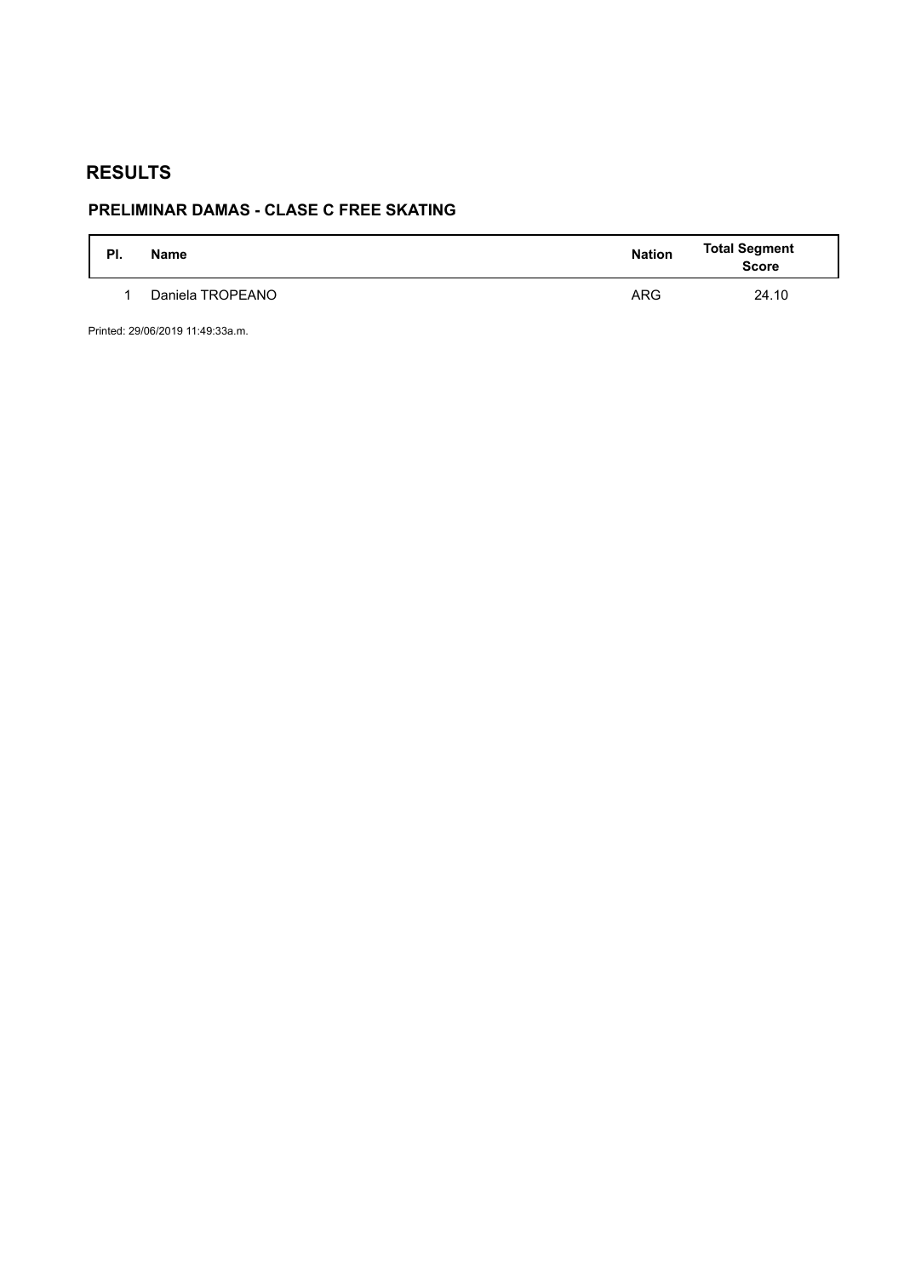# **PRELIMINAR DAMAS - CLASE C FREE SKATING**

| PI. | <b>Name</b>      | <b>Nation</b> | <b>Total Segment</b><br><b>Score</b> |
|-----|------------------|---------------|--------------------------------------|
|     | Daniela TROPEANO | <b>ARG</b>    | 24.10                                |

Printed: 29/06/2019 11:49:33a.m.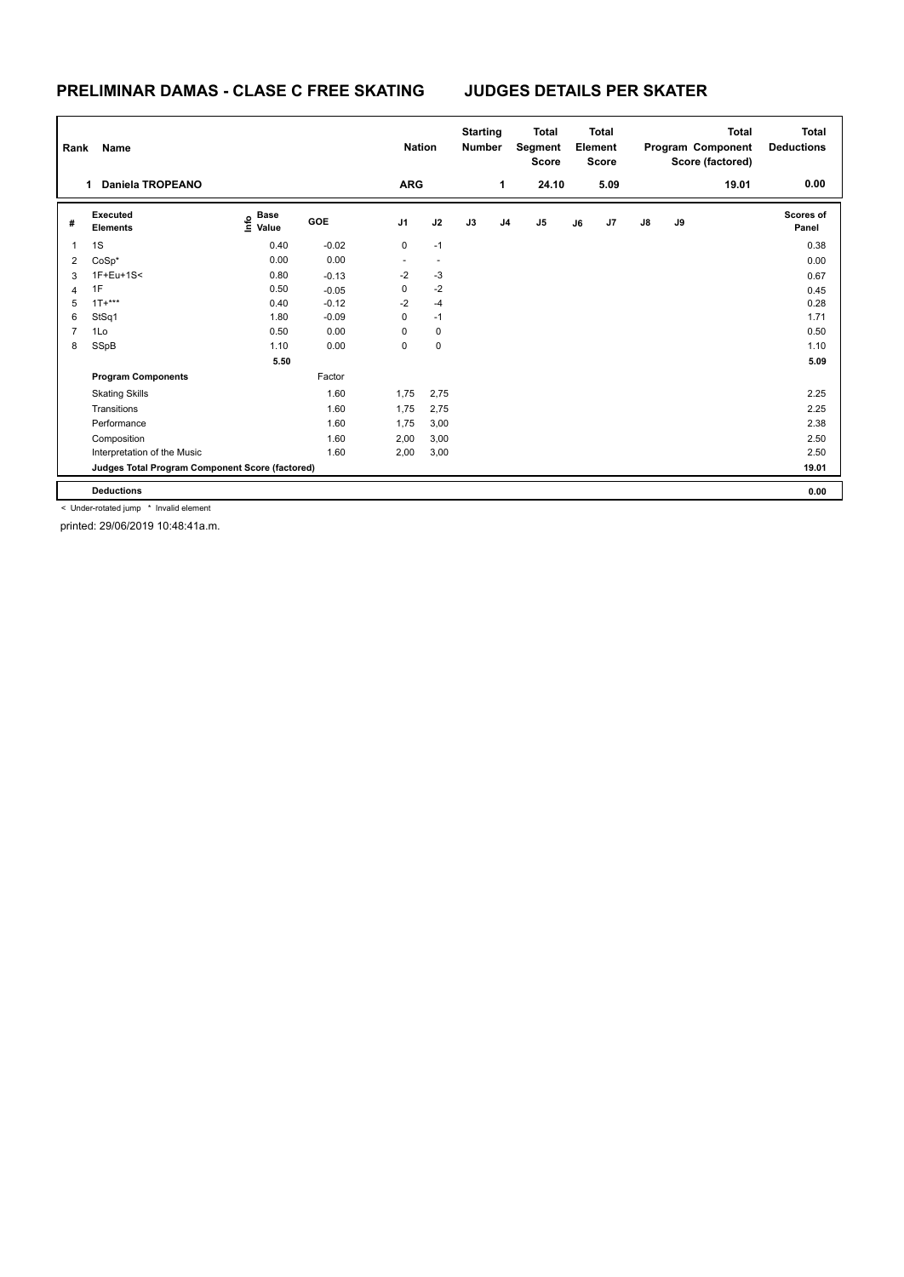### **PRELIMINAR DAMAS - CLASE C FREE SKATING JUDGES DETAILS PER SKATER**

| Rank           | Name                                            |                                  | <b>Nation</b> |                | <b>Starting</b><br><b>Number</b> | <b>Total</b><br>Segment<br><b>Score</b> | <b>Total</b><br>Element<br><b>Score</b> |                | <b>Total</b><br>Program Component<br>Score (factored) |      |               | <b>Total</b><br><b>Deductions</b> |       |                    |
|----------------|-------------------------------------------------|----------------------------------|---------------|----------------|----------------------------------|-----------------------------------------|-----------------------------------------|----------------|-------------------------------------------------------|------|---------------|-----------------------------------|-------|--------------------|
|                | <b>Daniela TROPEANO</b><br>1                    |                                  |               | <b>ARG</b>     |                                  |                                         | 1                                       | 24.10          |                                                       | 5.09 |               |                                   | 19.01 | 0.00               |
| #              | Executed<br><b>Elements</b>                     | <b>Base</b><br>e Base<br>E Value | GOE           | J <sub>1</sub> | J2                               | J3                                      | J4                                      | J <sub>5</sub> | J6                                                    | J7   | $\mathsf{J}8$ | J9                                |       | Scores of<br>Panel |
| 1              | 1S                                              | 0.40                             | $-0.02$       | 0              | $-1$                             |                                         |                                         |                |                                                       |      |               |                                   |       | 0.38               |
| 2              | CoSp*                                           | 0.00                             | 0.00          | $\blacksquare$ | $\overline{\phantom{a}}$         |                                         |                                         |                |                                                       |      |               |                                   |       | 0.00               |
| 3              | $1F + Eu + 1S <$                                | 0.80                             | $-0.13$       | $-2$           | $-3$                             |                                         |                                         |                |                                                       |      |               |                                   |       | 0.67               |
| 4              | 1F                                              | 0.50                             | $-0.05$       | 0              | $-2$                             |                                         |                                         |                |                                                       |      |               |                                   |       | 0.45               |
| 5              | $1T+***$                                        | 0.40                             | $-0.12$       | $-2$           | $-4$                             |                                         |                                         |                |                                                       |      |               |                                   |       | 0.28               |
| 6              | StSq1                                           | 1.80                             | $-0.09$       | 0              | $-1$                             |                                         |                                         |                |                                                       |      |               |                                   |       | 1.71               |
| $\overline{7}$ | 1Lo                                             | 0.50                             | 0.00          | $\Omega$       | 0                                |                                         |                                         |                |                                                       |      |               |                                   |       | 0.50               |
| 8              | SSpB                                            | 1.10                             | 0.00          | 0              | $\pmb{0}$                        |                                         |                                         |                |                                                       |      |               |                                   |       | 1.10               |
|                |                                                 | 5.50                             |               |                |                                  |                                         |                                         |                |                                                       |      |               |                                   |       | 5.09               |
|                | <b>Program Components</b>                       |                                  | Factor        |                |                                  |                                         |                                         |                |                                                       |      |               |                                   |       |                    |
|                | <b>Skating Skills</b>                           |                                  | 1.60          | 1,75           | 2,75                             |                                         |                                         |                |                                                       |      |               |                                   |       | 2.25               |
|                | Transitions                                     |                                  | 1.60          | 1,75           | 2,75                             |                                         |                                         |                |                                                       |      |               |                                   |       | 2.25               |
|                | Performance                                     |                                  | 1.60          | 1,75           | 3,00                             |                                         |                                         |                |                                                       |      |               |                                   |       | 2.38               |
|                | Composition                                     |                                  | 1.60          | 2,00           | 3,00                             |                                         |                                         |                |                                                       |      |               |                                   |       | 2.50               |
|                | Interpretation of the Music                     |                                  | 1.60          | 2,00           | 3,00                             |                                         |                                         |                |                                                       |      |               |                                   |       | 2.50               |
|                | Judges Total Program Component Score (factored) |                                  |               |                |                                  |                                         |                                         |                |                                                       |      |               |                                   |       | 19.01              |
|                | <b>Deductions</b>                               |                                  |               |                |                                  |                                         |                                         |                |                                                       |      |               |                                   |       | 0.00               |

< Under-rotated jump \* Invalid element

printed: 29/06/2019 10:48:41a.m.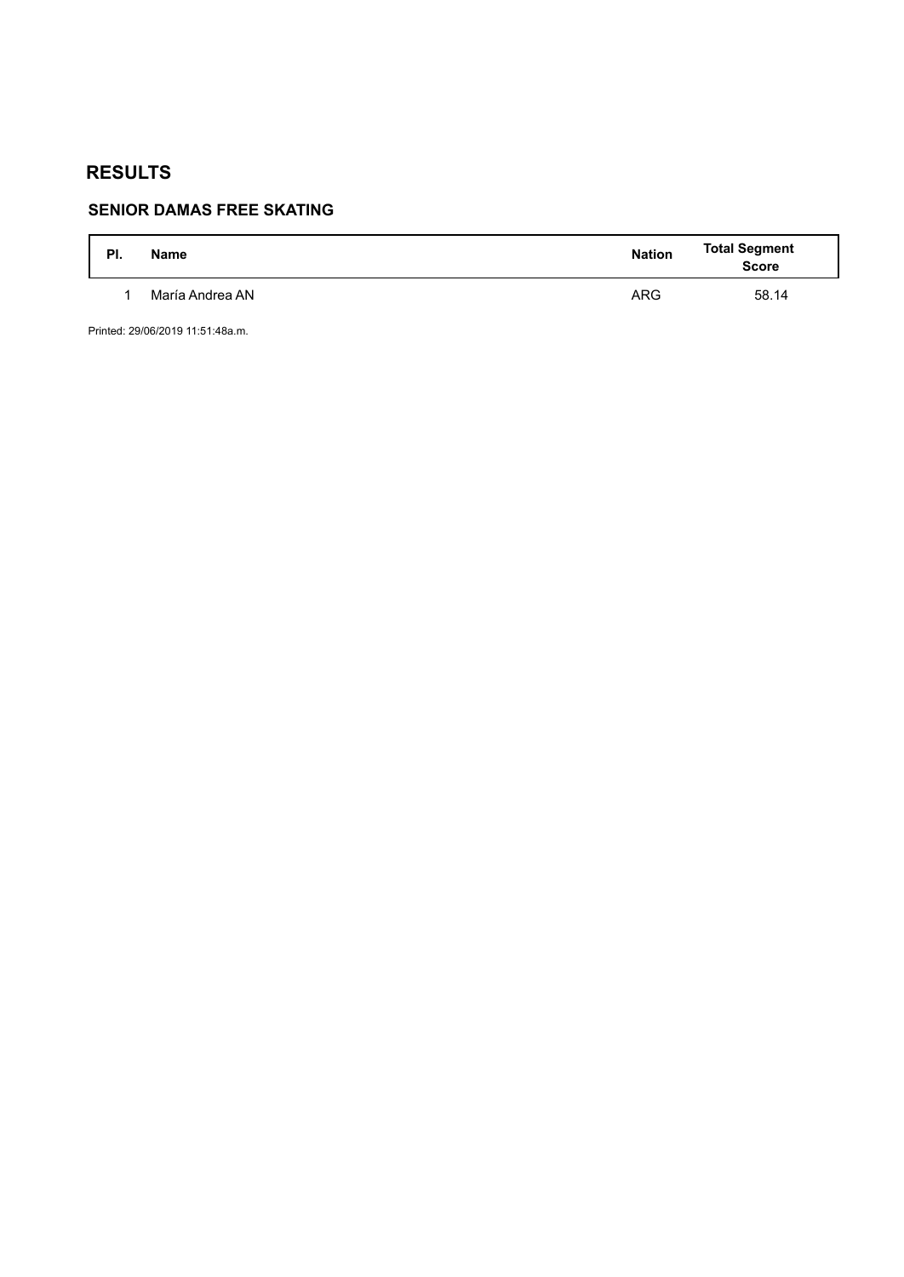# **SENIOR DAMAS FREE SKATING**

| PI. | <b>Name</b>     | <b>Nation</b> | Total Segment<br>Score |
|-----|-----------------|---------------|------------------------|
|     | María Andrea AN | <b>ARG</b>    | 58.14                  |

Printed: 29/06/2019 11:51:48a.m.